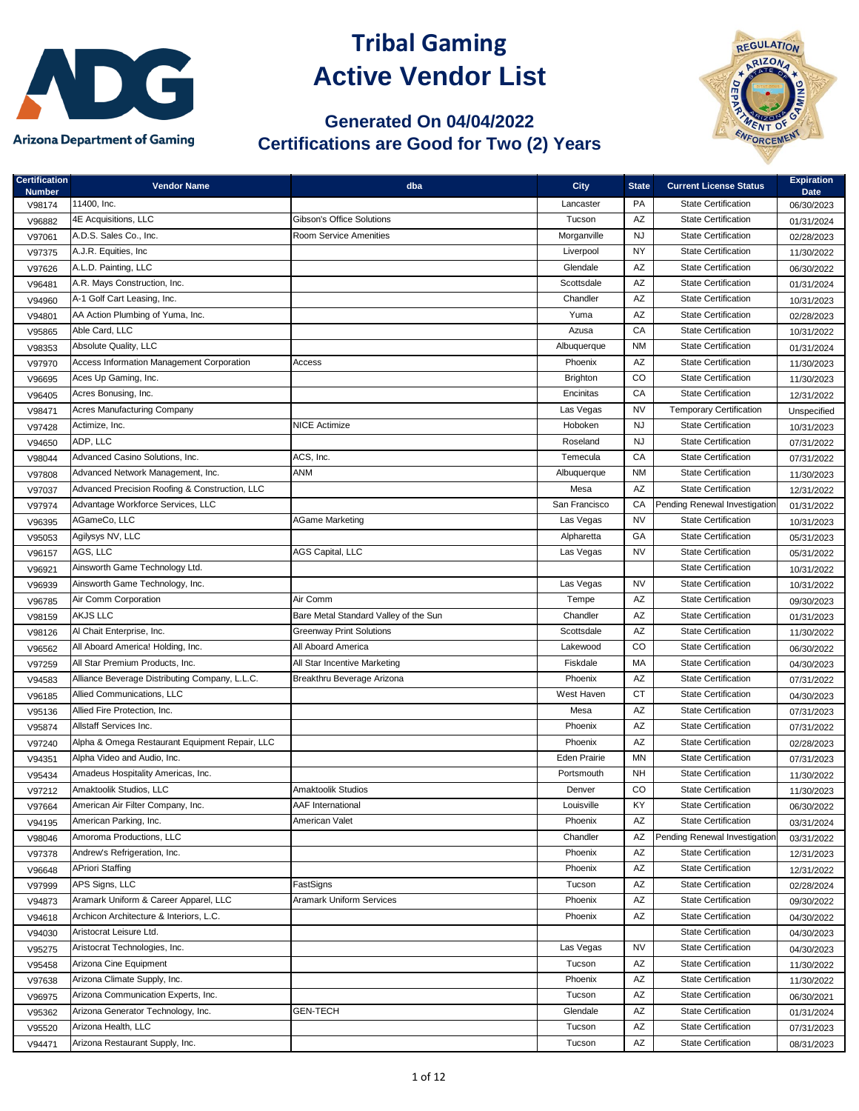

## **Tribal Gaming Active Vendor List**

## **Generated On 04/04/2022 Certifications are Good for Two (2) Years**



| <b>Certification</b>    | <b>Vendor Name</b>                             | dba                                   | <b>City</b>         | <b>State</b>           | <b>Current License Status</b>  | <b>Expiration</b>         |
|-------------------------|------------------------------------------------|---------------------------------------|---------------------|------------------------|--------------------------------|---------------------------|
| <b>Number</b><br>V98174 | 11400. Inc.                                    |                                       | Lancaster           | PA                     | <b>State Certification</b>     | <b>Date</b><br>06/30/2023 |
| V96882                  | 4E Acquisitions, LLC                           | <b>Gibson's Office Solutions</b>      | Tucson              | AZ                     | <b>State Certification</b>     | 01/31/2024                |
| V97061                  | A.D.S. Sales Co., Inc.                         | <b>Room Service Amenities</b>         | Morganville         | <b>NJ</b>              | <b>State Certification</b>     | 02/28/2023                |
| V97375                  | A.J.R. Equities, Inc.                          |                                       | Liverpool           | <b>NY</b>              | <b>State Certification</b>     | 11/30/2022                |
| V97626                  | A.L.D. Painting, LLC                           |                                       | Glendale            | $\mathsf{A}\mathsf{Z}$ | <b>State Certification</b>     | 06/30/2022                |
| V96481                  | A.R. Mays Construction, Inc.                   |                                       | Scottsdale          | $\mathsf{A}\mathsf{Z}$ | <b>State Certification</b>     | 01/31/2024                |
| V94960                  | A-1 Golf Cart Leasing, Inc.                    |                                       | Chandler            | AZ                     | <b>State Certification</b>     | 10/31/2023                |
| V94801                  | AA Action Plumbing of Yuma, Inc.               |                                       | Yuma                | AZ                     | <b>State Certification</b>     | 02/28/2023                |
| V95865                  | Able Card, LLC                                 |                                       | Azusa               | CA                     | <b>State Certification</b>     | 10/31/2022                |
| V98353                  | Absolute Quality, LLC                          |                                       | Albuquerque         | <b>NM</b>              | <b>State Certification</b>     | 01/31/2024                |
| V97970                  | Access Information Management Corporation      | Access                                | Phoenix             | $\mathsf{A}\mathsf{Z}$ | <b>State Certification</b>     | 11/30/2023                |
| V96695                  | Aces Up Gaming, Inc.                           |                                       | <b>Brighton</b>     | CO                     | <b>State Certification</b>     | 11/30/2023                |
|                         | Acres Bonusing, Inc.                           |                                       | Encinitas           | CA                     | <b>State Certification</b>     | 12/31/2022                |
| V96405                  | <b>Acres Manufacturing Company</b>             |                                       | Las Vegas           | <b>NV</b>              | <b>Temporary Certification</b> |                           |
| V98471                  | Actimize, Inc.                                 | <b>NICE Actimize</b>                  | Hoboken             | <b>NJ</b>              | <b>State Certification</b>     | Unspecified               |
| V97428                  | ADP, LLC                                       |                                       | Roseland            | <b>NJ</b>              | <b>State Certification</b>     | 10/31/2023                |
| V94650                  | Advanced Casino Solutions, Inc.                | ACS, Inc.                             | Temecula            | CA                     | <b>State Certification</b>     | 07/31/2022                |
| V98044                  | Advanced Network Management, Inc.              | <b>ANM</b>                            | Albuquerque         | <b>NM</b>              | <b>State Certification</b>     | 07/31/2022                |
| V97808                  | Advanced Precision Roofing & Construction, LLC |                                       | Mesa                | AZ                     | <b>State Certification</b>     | 11/30/2023                |
| V97037                  |                                                |                                       |                     |                        |                                | 12/31/2022                |
| V97974                  | Advantage Workforce Services, LLC              |                                       | San Francisco       | CA                     | Pending Renewal Investigation  | 01/31/2022                |
| V96395                  | AGameCo, LLC                                   | <b>AGame Marketing</b>                | Las Vegas           | <b>NV</b>              | <b>State Certification</b>     | 10/31/2023                |
| V95053                  | Agilysys NV, LLC                               |                                       | Alpharetta          | GA                     | <b>State Certification</b>     | 05/31/2023                |
| V96157                  | AGS, LLC                                       | AGS Capital, LLC                      | Las Vegas           | <b>NV</b>              | <b>State Certification</b>     | 05/31/2022                |
| V96921                  | Ainsworth Game Technology Ltd.                 |                                       |                     |                        | <b>State Certification</b>     | 10/31/2022                |
| V96939                  | Ainsworth Game Technology, Inc.                |                                       | Las Vegas           | NV                     | <b>State Certification</b>     | 10/31/2022                |
| V96785                  | Air Comm Corporation                           | Air Comm                              | Tempe               | AZ                     | <b>State Certification</b>     | 09/30/2023                |
| V98159                  | <b>AKJS LLC</b>                                | Bare Metal Standard Valley of the Sun | Chandler            | $\mathsf{A}\mathsf{Z}$ | <b>State Certification</b>     | 01/31/2023                |
| V98126                  | Al Chait Enterprise, Inc.                      | <b>Greenway Print Solutions</b>       | Scottsdale          | AZ                     | <b>State Certification</b>     | 11/30/2022                |
| V96562                  | All Aboard America! Holding, Inc.              | All Aboard America                    | Lakewood            | CO                     | <b>State Certification</b>     | 06/30/2022                |
| V97259                  | All Star Premium Products, Inc.                | All Star Incentive Marketing          | Fiskdale            | MA                     | <b>State Certification</b>     | 04/30/2023                |
| V94583                  | Alliance Beverage Distributing Company, L.L.C. | Breakthru Beverage Arizona            | Phoenix             | AZ                     | <b>State Certification</b>     | 07/31/2022                |
| V96185                  | Allied Communications, LLC                     |                                       | West Haven          | <b>CT</b>              | <b>State Certification</b>     | 04/30/2023                |
| V95136                  | Allied Fire Protection, Inc.                   |                                       | Mesa                | AZ                     | <b>State Certification</b>     | 07/31/2023                |
| V95874                  | Allstaff Services Inc.                         |                                       | Phoenix             | AZ                     | <b>State Certification</b>     | 07/31/2022                |
| V97240                  | Alpha & Omega Restaurant Equipment Repair, LLC |                                       | Phoenix             | AZ                     | <b>State Certification</b>     | 02/28/2023                |
| V94351                  | Alpha Video and Audio, Inc.                    |                                       | <b>Eden Prairie</b> | MN                     | <b>State Certification</b>     | 07/31/2023                |
| V95434                  | Amadeus Hospitality Americas, Inc.             |                                       | Portsmouth          | NH                     | <b>State Certification</b>     | 11/30/2022                |
| V97212                  | Amaktoolik Studios, LLC                        | <b>Amaktoolik Studios</b>             | Denver              | CO                     | <b>State Certification</b>     | 11/30/2023                |
| V97664                  | American Air Filter Company, Inc.              | <b>AAF</b> International              | Louisville          | KY                     | <b>State Certification</b>     | 06/30/2022                |
| V94195                  | American Parking, Inc.                         | American Valet                        | Phoenix             | AZ                     | <b>State Certification</b>     | 03/31/2024                |
| V98046                  | Amoroma Productions, LLC                       |                                       | Chandler            | AZ                     | Pending Renewal Investigation  | 03/31/2022                |
| V97378                  | Andrew's Refrigeration, Inc.                   |                                       | Phoenix             | AZ                     | <b>State Certification</b>     | 12/31/2023                |
| V96648                  | <b>APriori Staffing</b>                        |                                       | Phoenix             | AZ                     | <b>State Certification</b>     | 12/31/2022                |
| V97999                  | APS Signs, LLC                                 | FastSigns                             | Tucson              | AZ                     | <b>State Certification</b>     | 02/28/2024                |
| V94873                  | Aramark Uniform & Career Apparel, LLC          | <b>Aramark Uniform Services</b>       | Phoenix             | AZ                     | <b>State Certification</b>     | 09/30/2022                |
| V94618                  | Archicon Architecture & Interiors, L.C.        |                                       | Phoenix             | AZ                     | <b>State Certification</b>     | 04/30/2022                |
| V94030                  | Aristocrat Leisure Ltd.                        |                                       |                     |                        | <b>State Certification</b>     | 04/30/2023                |
| V95275                  | Aristocrat Technologies, Inc.                  |                                       | Las Vegas           | <b>NV</b>              | <b>State Certification</b>     | 04/30/2023                |
| V95458                  | Arizona Cine Equipment                         |                                       | Tucson              | AZ                     | <b>State Certification</b>     | 11/30/2022                |
| V97638                  | Arizona Climate Supply, Inc.                   |                                       | Phoenix             | AZ                     | <b>State Certification</b>     | 11/30/2022                |
| V96975                  | Arizona Communication Experts, Inc.            |                                       | Tucson              | $\mathsf{A}\mathsf{Z}$ | <b>State Certification</b>     | 06/30/2021                |
| V95362                  | Arizona Generator Technology, Inc.             | <b>GEN-TECH</b>                       | Glendale            | $\mathsf{A}\mathsf{Z}$ | <b>State Certification</b>     | 01/31/2024                |
| V95520                  | Arizona Health, LLC                            |                                       | Tucson              | $\mathsf{A}\mathsf{Z}$ | <b>State Certification</b>     | 07/31/2023                |
| V94471                  | Arizona Restaurant Supply, Inc.                |                                       | Tucson              | $\mathsf{A}\mathsf{Z}$ | <b>State Certification</b>     | 08/31/2023                |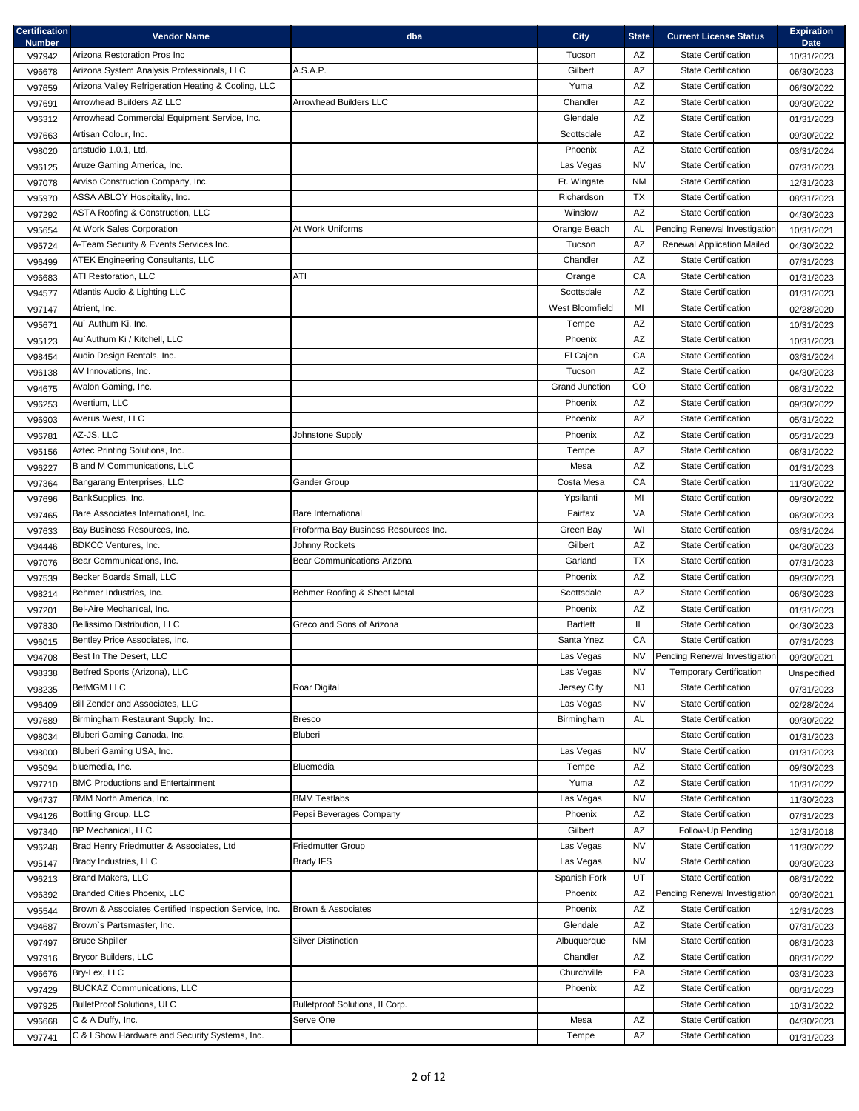| <b>Certification</b><br><b>Number</b> | <b>Vendor Name</b>                                                  | dba                                                    | <b>City</b>           | <b>State</b>           | <b>Current License Status</b>                            | <b>Expiration</b><br><b>Date</b> |
|---------------------------------------|---------------------------------------------------------------------|--------------------------------------------------------|-----------------------|------------------------|----------------------------------------------------------|----------------------------------|
| V97942                                | Arizona Restoration Pros Inc                                        |                                                        | Tucson                | AZ                     | <b>State Certification</b>                               | 10/31/2023                       |
| V96678                                | Arizona System Analysis Professionals, LLC                          | A.S.A.P.                                               | Gilbert               | AZ                     | <b>State Certification</b>                               | 06/30/2023                       |
| V97659                                | Arizona Valley Refrigeration Heating & Cooling, LLC                 |                                                        | Yuma                  | $\mathsf{A}\mathsf{Z}$ | <b>State Certification</b>                               | 06/30/2022                       |
| V97691                                | Arrowhead Builders AZ LLC                                           | <b>Arrowhead Builders LLC</b>                          | Chandler              | $\mathsf{A}\mathsf{Z}$ | <b>State Certification</b>                               | 09/30/2022                       |
| V96312                                | Arrowhead Commercial Equipment Service, Inc.                        |                                                        | Glendale              | AZ                     | <b>State Certification</b>                               | 01/31/2023                       |
| V97663                                | Artisan Colour, Inc.                                                |                                                        | Scottsdale            | $\mathsf{A}\mathsf{Z}$ | <b>State Certification</b>                               | 09/30/2022                       |
| V98020                                | artstudio 1.0.1, Ltd.                                               |                                                        | Phoenix               | AZ                     | <b>State Certification</b>                               | 03/31/2024                       |
| V96125                                | Aruze Gaming America, Inc.                                          |                                                        | Las Vegas             | <b>NV</b>              | <b>State Certification</b>                               | 07/31/2023                       |
| V97078                                | Arviso Construction Company, Inc.                                   |                                                        | Ft. Wingate           | NM                     | <b>State Certification</b>                               | 12/31/2023                       |
| V95970                                | ASSA ABLOY Hospitality, Inc.                                        |                                                        | Richardson            | <b>TX</b>              | <b>State Certification</b>                               | 08/31/2023                       |
| V97292                                | <b>ASTA Roofing &amp; Construction, LLC</b>                         |                                                        | Winslow               | AZ                     | <b>State Certification</b>                               | 04/30/2023                       |
| V95654                                | At Work Sales Corporation                                           | At Work Uniforms                                       | Orange Beach          | AL                     | Pending Renewal Investigation                            | 10/31/2021                       |
| V95724                                | A-Team Security & Events Services Inc.                              |                                                        | Tucson                | AZ                     | <b>Renewal Application Mailed</b>                        | 04/30/2022                       |
| V96499                                | <b>ATEK Engineering Consultants, LLC</b>                            |                                                        | Chandler              | AZ                     | <b>State Certification</b>                               | 07/31/2023                       |
| V96683                                | <b>ATI Restoration, LLC</b>                                         | ATI                                                    | Orange                | CA                     | <b>State Certification</b>                               | 01/31/2023                       |
| V94577                                | Atlantis Audio & Lighting LLC                                       |                                                        | Scottsdale            | AZ                     | <b>State Certification</b>                               | 01/31/2023                       |
| V97147                                | Atrient, Inc.                                                       |                                                        | West Bloomfield       | MI                     | <b>State Certification</b>                               | 02/28/2020                       |
| V95671                                | Au' Authum Ki, Inc.                                                 |                                                        | Tempe                 | $\mathsf{A}\mathsf{Z}$ | <b>State Certification</b>                               | 10/31/2023                       |
| V95123                                | Au' Authum Ki / Kitchell, LLC                                       |                                                        | Phoenix               | AZ                     | <b>State Certification</b>                               | 10/31/2023                       |
| V98454                                | Audio Design Rentals, Inc.                                          |                                                        | El Cajon              | ${\sf CA}$             | <b>State Certification</b>                               | 03/31/2024                       |
| V96138                                | AV Innovations, Inc.                                                |                                                        | Tucson                | AZ                     | <b>State Certification</b>                               | 04/30/2023                       |
| V94675                                | Avalon Gaming, Inc.                                                 |                                                        | <b>Grand Junction</b> | $_{\rm CO}$            | <b>State Certification</b>                               | 08/31/2022                       |
| V96253                                | Avertium, LLC                                                       |                                                        | Phoenix               | AZ                     | <b>State Certification</b>                               | 09/30/2022                       |
| V96903                                | Averus West, LLC                                                    |                                                        | Phoenix               | AZ                     | <b>State Certification</b>                               | 05/31/2022                       |
| V96781                                | AZ-JS, LLC                                                          | Johnstone Supply                                       | Phoenix               | AZ                     | <b>State Certification</b>                               | 05/31/2023                       |
| V95156                                | Aztec Printing Solutions, Inc.                                      |                                                        | Tempe                 | $\mathsf{A}\mathsf{Z}$ | <b>State Certification</b>                               | 08/31/2022                       |
| V96227                                | B and M Communications, LLC                                         |                                                        | Mesa                  | $\mathsf{A}\mathsf{Z}$ | <b>State Certification</b>                               | 01/31/2023                       |
| V97364                                | Bangarang Enterprises, LLC                                          | <b>Gander Group</b>                                    | Costa Mesa            | ${\sf CA}$             | State Certification                                      | 11/30/2022                       |
| V97696                                | BankSupplies, Inc.                                                  |                                                        | Ypsilanti             | MI                     | <b>State Certification</b>                               | 09/30/2022                       |
| V97465                                | Bare Associates International, Inc.<br>Bay Business Resources, Inc. | <b>Bare International</b>                              | Fairfax               | VA<br>WI               | <b>State Certification</b><br><b>State Certification</b> | 06/30/2023                       |
| V97633                                | <b>BDKCC Ventures, Inc.</b>                                         | Proforma Bay Business Resources Inc.<br>Johnny Rockets | Green Bay<br>Gilbert  | AZ                     | <b>State Certification</b>                               | 03/31/2024                       |
| V94446                                | Bear Communications, Inc.                                           | Bear Communications Arizona                            | Garland               | <b>TX</b>              | <b>State Certification</b>                               | 04/30/2023                       |
| V97076                                | Becker Boards Small, LLC                                            |                                                        | Phoenix               | AZ                     | <b>State Certification</b>                               | 07/31/2023                       |
| V97539                                | Behmer Industries, Inc.                                             | Behmer Roofing & Sheet Metal                           | Scottsdale            | AZ                     | <b>State Certification</b>                               | 09/30/2023                       |
| V98214                                | Bel-Aire Mechanical, Inc.                                           |                                                        | Phoenix               | AZ                     | <b>State Certification</b>                               | 06/30/2023                       |
| V97201                                | Bellissimo Distribution, LLC                                        | Greco and Sons of Arizona                              | <b>Bartlett</b>       | IL                     | <b>State Certification</b>                               | 01/31/2023                       |
| V97830<br>V96015                      | Bentley Price Associates, Inc.                                      |                                                        | Santa Ynez            | CA                     | <b>State Certification</b>                               | 04/30/2023<br>07/31/2023         |
| V94708                                | Best In The Desert, LLC                                             |                                                        | Las Vegas             | NV                     | Pending Renewal Investigation                            | 09/30/2021                       |
| V98338                                | Betfred Sports (Arizona), LLC                                       |                                                        | Las Vegas             | NV                     | <b>Temporary Certification</b>                           | Unspecified                      |
| V98235                                | <b>BetMGM LLC</b>                                                   | Roar Digital                                           | Jersey City           | NJ                     | <b>State Certification</b>                               | 07/31/2023                       |
| V96409                                | Bill Zender and Associates, LLC                                     |                                                        | Las Vegas             | <b>NV</b>              | <b>State Certification</b>                               | 02/28/2024                       |
| V97689                                | Birmingham Restaurant Supply, Inc.                                  | <b>Bresco</b>                                          | Birmingham            | AL                     | <b>State Certification</b>                               | 09/30/2022                       |
| V98034                                | Bluberi Gaming Canada, Inc.                                         | Bluberi                                                |                       |                        | <b>State Certification</b>                               | 01/31/2023                       |
| V98000                                | Bluberi Gaming USA, Inc.                                            |                                                        | Las Vegas             | <b>NV</b>              | <b>State Certification</b>                               | 01/31/2023                       |
| V95094                                | bluemedia, Inc.                                                     | Bluemedia                                              | Tempe                 | AZ                     | <b>State Certification</b>                               | 09/30/2023                       |
| V97710                                | <b>BMC Productions and Entertainment</b>                            |                                                        | Yuma                  | AZ                     | <b>State Certification</b>                               | 10/31/2022                       |
| V94737                                | BMM North America, Inc.                                             | BMM Testlabs                                           | Las Vegas             | NV                     | <b>State Certification</b>                               | 11/30/2023                       |
| V94126                                | Bottling Group, LLC                                                 | Pepsi Beverages Company                                | Phoenix               | AZ                     | <b>State Certification</b>                               | 07/31/2023                       |
| V97340                                | <b>BP Mechanical, LLC</b>                                           |                                                        | Gilbert               | AZ                     | Follow-Up Pending                                        | 12/31/2018                       |
| V96248                                | Brad Henry Friedmutter & Associates, Ltd                            | <b>Friedmutter Group</b>                               | Las Vegas             | NV                     | <b>State Certification</b>                               | 11/30/2022                       |
| V95147                                | Brady Industries, LLC                                               | <b>Brady IFS</b>                                       | Las Vegas             | <b>NV</b>              | <b>State Certification</b>                               | 09/30/2023                       |
| V96213                                | Brand Makers, LLC                                                   |                                                        | Spanish Fork          | UT                     | <b>State Certification</b>                               | 08/31/2022                       |
| V96392                                | Branded Cities Phoenix, LLC                                         |                                                        | Phoenix               | AZ                     | Pending Renewal Investigation                            | 09/30/2021                       |
| V95544                                | Brown & Associates Certified Inspection Service, Inc.               | Brown & Associates                                     | Phoenix               | AZ                     | <b>State Certification</b>                               | 12/31/2023                       |
| V94687                                | Brown's Partsmaster, Inc.                                           |                                                        | Glendale              | AZ                     | <b>State Certification</b>                               | 07/31/2023                       |
| V97497                                | <b>Bruce Shpiller</b>                                               | <b>Silver Distinction</b>                              | Albuquerque           | NM                     | <b>State Certification</b>                               | 08/31/2023                       |
| V97916                                | Brycor Builders, LLC                                                |                                                        | Chandler              | AZ                     | <b>State Certification</b>                               | 08/31/2022                       |
| V96676                                | Bry-Lex, LLC                                                        |                                                        | Churchville           | PA                     | <b>State Certification</b>                               | 03/31/2023                       |
| V97429                                | <b>BUCKAZ Communications, LLC</b>                                   |                                                        | Phoenix               | AZ                     | <b>State Certification</b>                               | 08/31/2023                       |
| V97925                                | <b>BulletProof Solutions, ULC</b>                                   | Bulletproof Solutions, II Corp.                        |                       |                        | <b>State Certification</b>                               | 10/31/2022                       |
| V96668                                | C & A Duffy, Inc.                                                   | Serve One                                              | Mesa                  | $\mathsf{A}\mathsf{Z}$ | State Certification                                      | 04/30/2023                       |
| V97741                                | C & I Show Hardware and Security Systems, Inc.                      |                                                        | Tempe                 | $\mathsf{A}\mathsf{Z}$ | <b>State Certification</b>                               | 01/31/2023                       |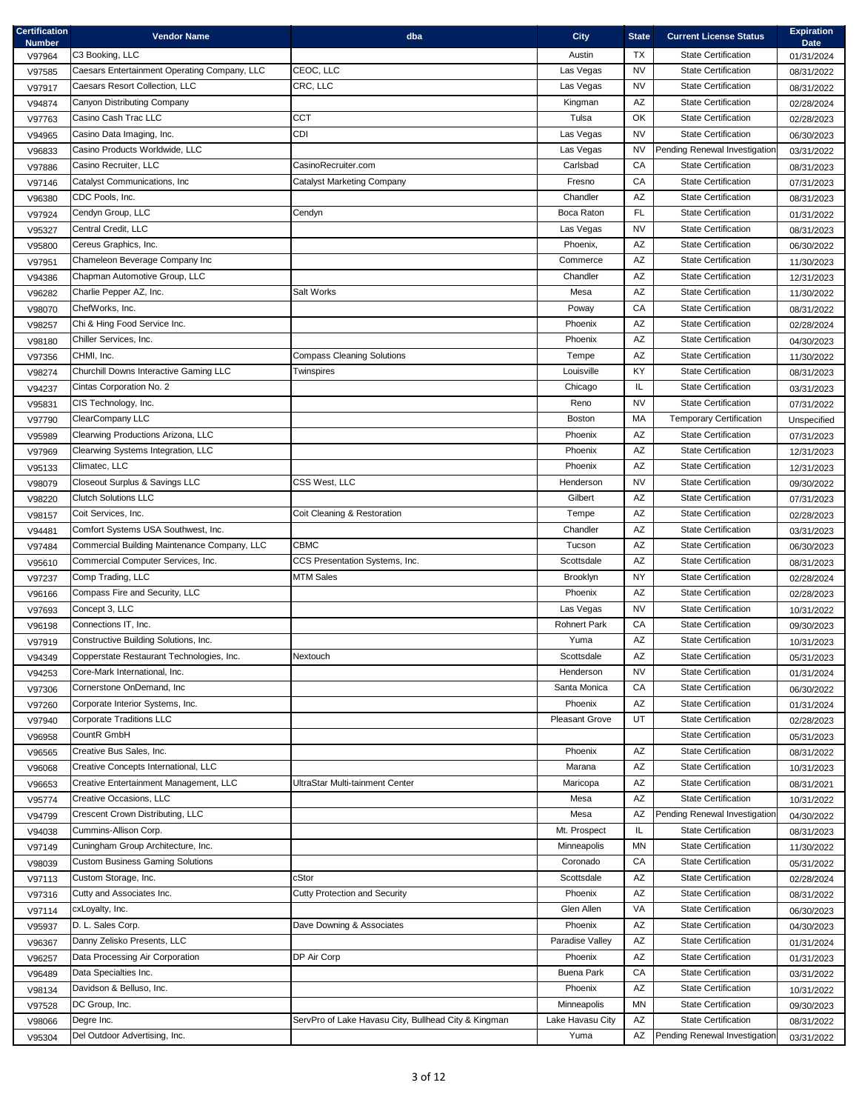| <b>Certification</b><br><b>Number</b> | <b>Vendor Name</b>                                      | dba                                                  | <b>City</b>                      | <b>State</b>           | <b>Current License Status</b>                            | <b>Expiration</b><br><b>Date</b> |
|---------------------------------------|---------------------------------------------------------|------------------------------------------------------|----------------------------------|------------------------|----------------------------------------------------------|----------------------------------|
| V97964                                | C3 Booking, LLC                                         |                                                      | Austin                           | <b>TX</b>              | <b>State Certification</b>                               | 01/31/2024                       |
| V97585                                | Caesars Entertainment Operating Company, LLC            | CEOC, LLC                                            | Las Vegas                        | <b>NV</b>              | <b>State Certification</b>                               | 08/31/2022                       |
| V97917                                | Caesars Resort Collection, LLC                          | CRC, LLC                                             | Las Vegas                        | <b>NV</b>              | <b>State Certification</b>                               | 08/31/2022                       |
| V94874                                | Canyon Distributing Company                             |                                                      | Kingman                          | AZ                     | <b>State Certification</b>                               | 02/28/2024                       |
| V97763                                | Casino Cash Trac LLC                                    | CCT                                                  | Tulsa                            | OK                     | <b>State Certification</b>                               | 02/28/2023                       |
| V94965                                | Casino Data Imaging, Inc.                               | <b>CDI</b>                                           | Las Vegas                        | <b>NV</b>              | <b>State Certification</b>                               | 06/30/2023                       |
| V96833                                | Casino Products Worldwide, LLC                          |                                                      | Las Vegas                        | <b>NV</b>              | Pending Renewal Investigation                            | 03/31/2022                       |
| V97886                                | Casino Recruiter, LLC                                   | CasinoRecruiter.com                                  | Carlsbad                         | ${\sf CA}$             | <b>State Certification</b>                               | 08/31/2023                       |
| V97146                                | Catalyst Communications, Inc                            | <b>Catalyst Marketing Company</b>                    | Fresno                           | CA                     | <b>State Certification</b>                               | 07/31/2023                       |
| V96380                                | CDC Pools, Inc.                                         |                                                      | Chandler                         | $\mathsf{A}\mathsf{Z}$ | <b>State Certification</b>                               | 08/31/2023                       |
| V97924                                | Cendyn Group, LLC                                       | Cendyn                                               | Boca Raton                       | FL                     | <b>State Certification</b>                               | 01/31/2022                       |
| V95327                                | Central Credit, LLC                                     |                                                      | Las Vegas                        | <b>NV</b>              | <b>State Certification</b>                               | 08/31/2023                       |
| V95800                                | Cereus Graphics, Inc.                                   |                                                      | Phoenix,                         | AZ                     | <b>State Certification</b>                               | 06/30/2022                       |
| V97951                                | Chameleon Beverage Company Inc                          |                                                      | Commerce                         | AZ                     | <b>State Certification</b>                               | 11/30/2023                       |
| V94386                                | Chapman Automotive Group, LLC                           |                                                      | Chandler                         | AZ                     | <b>State Certification</b>                               | 12/31/2023                       |
| V96282                                | Charlie Pepper AZ, Inc.                                 | Salt Works                                           | Mesa                             | $\mathsf{A}\mathsf{Z}$ | <b>State Certification</b>                               | 11/30/2022                       |
| V98070                                | ChefWorks, Inc.                                         |                                                      | Poway                            | CA                     | <b>State Certification</b>                               | 08/31/2022                       |
| V98257                                | Chi & Hing Food Service Inc.                            |                                                      | Phoenix                          | AZ                     | <b>State Certification</b>                               | 02/28/2024                       |
| V98180                                | Chiller Services, Inc.                                  |                                                      | Phoenix                          | AZ                     | <b>State Certification</b>                               | 04/30/2023                       |
| V97356                                | CHMI, Inc.                                              | <b>Compass Cleaning Solutions</b>                    | Tempe                            | AZ                     | <b>State Certification</b>                               | 11/30/2022                       |
| V98274                                | Churchill Downs Interactive Gaming LLC                  | Twinspires                                           | Louisville                       | KY                     | <b>State Certification</b>                               | 08/31/2023                       |
| V94237                                | Cintas Corporation No. 2                                |                                                      | Chicago                          | IL.                    | <b>State Certification</b>                               | 03/31/2023                       |
| V95831                                | CIS Technology, Inc.                                    |                                                      | Reno                             | <b>NV</b>              | <b>State Certification</b>                               | 07/31/2022                       |
| V97790                                | ClearCompany LLC                                        |                                                      | <b>Boston</b>                    | MA                     | <b>Temporary Certification</b>                           | Unspecified                      |
| V95989                                | Clearwing Productions Arizona, LLC                      |                                                      | Phoenix                          | AZ                     | <b>State Certification</b>                               | 07/31/2023                       |
| V97969                                | Clearwing Systems Integration, LLC                      |                                                      | Phoenix                          | AZ                     | <b>State Certification</b>                               | 12/31/2023                       |
| V95133                                | Climatec, LLC                                           |                                                      | Phoenix                          | AZ                     | <b>State Certification</b>                               | 12/31/2023                       |
| V98079                                | Closeout Surplus & Savings LLC                          | CSS West, LLC                                        | Henderson                        | <b>NV</b>              | State Certification                                      | 09/30/2022                       |
| V98220                                | <b>Clutch Solutions LLC</b>                             |                                                      | Gilbert                          | AZ                     | <b>State Certification</b>                               | 07/31/2023                       |
| V98157                                | Coit Services, Inc.                                     | Coit Cleaning & Restoration                          | Tempe                            | AZ                     | <b>State Certification</b>                               | 02/28/2023                       |
| V94481                                | Comfort Systems USA Southwest, Inc.                     |                                                      | Chandler                         | AZ                     | <b>State Certification</b>                               | 03/31/2023                       |
| V97484                                | Commercial Building Maintenance Company, LLC            | CBMC                                                 | Tucson                           | AZ                     | <b>State Certification</b><br><b>State Certification</b> | 06/30/2023                       |
| V95610                                | Commercial Computer Services, Inc.<br>Comp Trading, LLC | CCS Presentation Systems, Inc.<br><b>MTM Sales</b>   | Scottsdale<br>Brooklyn           | AZ<br><b>NY</b>        | <b>State Certification</b>                               | 08/31/2023                       |
| V97237                                | Compass Fire and Security, LLC                          |                                                      | Phoenix                          | AZ                     | <b>State Certification</b>                               | 02/28/2024                       |
| V96166                                | Concept 3, LLC                                          |                                                      |                                  | <b>NV</b>              | <b>State Certification</b>                               | 02/28/2023                       |
| V97693                                | Connections IT, Inc.                                    |                                                      | Las Vegas<br><b>Rohnert Park</b> | CA                     | <b>State Certification</b>                               | 10/31/2022                       |
| V96198                                | Constructive Building Solutions, Inc.                   |                                                      | Yuma                             | AZ                     | <b>State Certification</b>                               | 09/30/2023                       |
| V97919<br>V94349                      | Copperstate Restaurant Technologies, Inc.               | Nextouch                                             | Scottsdale                       | AZ                     | <b>State Certification</b>                               | 10/31/2023                       |
| V94253                                | Core-Mark International, Inc.                           |                                                      | Henderson                        | <b>NV</b>              | <b>State Certification</b>                               | 05/31/2023<br>01/31/2024         |
| V97306                                | Cornerstone OnDemand, Inc                               |                                                      | Santa Monica                     | CA                     | <b>State Certification</b>                               | 06/30/2022                       |
| V97260                                | Corporate Interior Systems, Inc.                        |                                                      | Phoenix                          | AZ                     | <b>State Certification</b>                               | 01/31/2024                       |
| V97940                                | <b>Corporate Traditions LLC</b>                         |                                                      | <b>Pleasant Grove</b>            | UT                     | <b>State Certification</b>                               | 02/28/2023                       |
| V96958                                | CountR GmbH                                             |                                                      |                                  |                        | <b>State Certification</b>                               | 05/31/2023                       |
| V96565                                | Creative Bus Sales, Inc.                                |                                                      | Phoenix                          | AZ                     | <b>State Certification</b>                               | 08/31/2022                       |
| V96068                                | Creative Concepts International, LLC                    |                                                      | Marana                           | AZ                     | <b>State Certification</b>                               | 10/31/2023                       |
| V96653                                | Creative Entertainment Management, LLC                  | UltraStar Multi-tainment Center                      | Maricopa                         | AZ                     | <b>State Certification</b>                               | 08/31/2021                       |
| V95774                                | Creative Occasions, LLC                                 |                                                      | Mesa                             | AZ                     | <b>State Certification</b>                               | 10/31/2022                       |
| V94799                                | Crescent Crown Distributing, LLC                        |                                                      | Mesa                             | AZ                     | Pending Renewal Investigation                            | 04/30/2022                       |
| V94038                                | Cummins-Allison Corp.                                   |                                                      | Mt. Prospect                     | IL.                    | <b>State Certification</b>                               | 08/31/2023                       |
| V97149                                | Cuningham Group Architecture, Inc.                      |                                                      | Minneapolis                      | ΜN                     | <b>State Certification</b>                               | 11/30/2022                       |
| V98039                                | <b>Custom Business Gaming Solutions</b>                 |                                                      | Coronado                         | CA                     | <b>State Certification</b>                               | 05/31/2022                       |
| V97113                                | Custom Storage, Inc.                                    | cStor                                                | Scottsdale                       | AZ                     | <b>State Certification</b>                               | 02/28/2024                       |
| V97316                                | Cutty and Associates Inc.                               | <b>Cutty Protection and Security</b>                 | Phoenix                          | AZ                     | <b>State Certification</b>                               | 08/31/2022                       |
| V97114                                | cxLoyalty, Inc.                                         |                                                      | Glen Allen                       | VA                     | <b>State Certification</b>                               | 06/30/2023                       |
| V95937                                | D. L. Sales Corp.                                       | Dave Downing & Associates                            | Phoenix                          | AZ                     | <b>State Certification</b>                               | 04/30/2023                       |
| V96367                                | Danny Zelisko Presents, LLC                             |                                                      | Paradise Valley                  | AZ                     | <b>State Certification</b>                               | 01/31/2024                       |
| V96257                                | Data Processing Air Corporation                         | DP Air Corp                                          | Phoenix                          | AZ                     | <b>State Certification</b>                               | 01/31/2023                       |
| V96489                                | Data Specialties Inc.                                   |                                                      | <b>Buena Park</b>                | CA                     | <b>State Certification</b>                               | 03/31/2022                       |
| V98134                                | Davidson & Belluso, Inc.                                |                                                      | Phoenix                          | AZ                     | <b>State Certification</b>                               | 10/31/2022                       |
| V97528                                | DC Group, Inc.                                          |                                                      | Minneapolis                      | MN                     | <b>State Certification</b>                               | 09/30/2023                       |
| V98066                                | Degre Inc.                                              | ServPro of Lake Havasu City, Bullhead City & Kingman | Lake Havasu City                 | $\mathsf{A}\mathsf{Z}$ | <b>State Certification</b>                               | 08/31/2022                       |
| V95304                                | Del Outdoor Advertising, Inc.                           |                                                      | Yuma                             |                        | AZ Pending Renewal Investigation                         | 03/31/2022                       |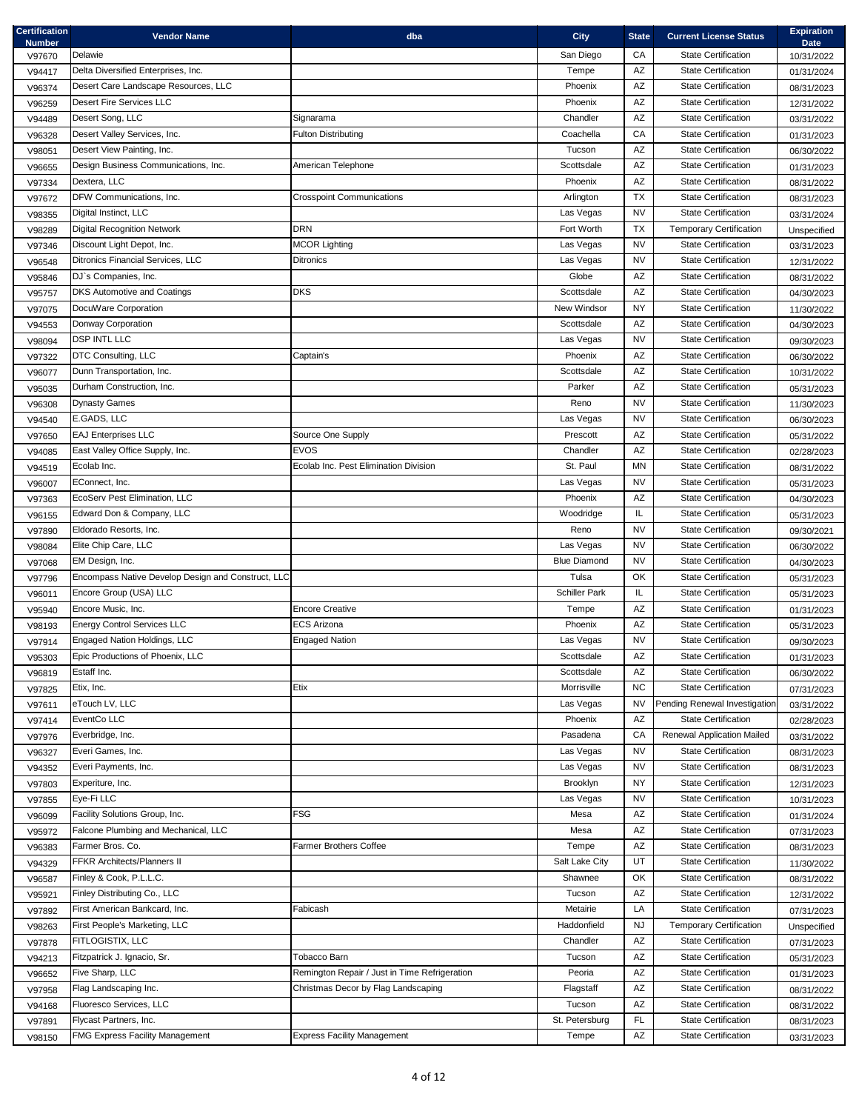| <b>Certification</b><br><b>Number</b> | <b>Vendor Name</b>                                                    | dba                                           | <b>City</b>                      | <b>State</b>           | <b>Current License Status</b>                            | <b>Expiration</b><br><b>Date</b> |
|---------------------------------------|-----------------------------------------------------------------------|-----------------------------------------------|----------------------------------|------------------------|----------------------------------------------------------|----------------------------------|
| V97670                                | Delawie                                                               |                                               | San Diego                        | CA                     | <b>State Certification</b>                               | 10/31/2022                       |
| V94417                                | Delta Diversified Enterprises, Inc.                                   |                                               | Tempe                            | AZ                     | <b>State Certification</b>                               | 01/31/2024                       |
| V96374                                | Desert Care Landscape Resources, LLC                                  |                                               | Phoenix                          | AZ                     | <b>State Certification</b>                               | 08/31/2023                       |
| V96259                                | <b>Desert Fire Services LLC</b>                                       |                                               | Phoenix                          | AZ                     | <b>State Certification</b>                               | 12/31/2022                       |
| V94489                                | Desert Song, LLC                                                      | Signarama                                     | Chandler                         | AZ                     | <b>State Certification</b>                               | 03/31/2022                       |
| V96328                                | Desert Valley Services, Inc.                                          | <b>Fulton Distributing</b>                    | Coachella                        | CA                     | <b>State Certification</b>                               | 01/31/2023                       |
| V98051                                | Desert View Painting, Inc.                                            |                                               | Tucson                           | AZ                     | <b>State Certification</b>                               | 06/30/2022                       |
| V96655                                | Design Business Communications, Inc.                                  | American Telephone                            | Scottsdale                       | $\mathsf{A}\mathsf{Z}$ | <b>State Certification</b>                               | 01/31/2023                       |
| V97334                                | Dextera, LLC                                                          |                                               | Phoenix                          | $\mathsf{A}\mathsf{Z}$ | <b>State Certification</b>                               | 08/31/2022                       |
| V97672                                | DFW Communications, Inc.                                              | <b>Crosspoint Communications</b>              | Arlington                        | <b>TX</b>              | <b>State Certification</b>                               | 08/31/2023                       |
| V98355                                | Digital Instinct, LLC                                                 |                                               | Las Vegas                        | <b>NV</b>              | <b>State Certification</b>                               | 03/31/2024                       |
| V98289                                | <b>Digital Recognition Network</b>                                    | <b>DRN</b>                                    | Fort Worth                       | <b>TX</b>              | <b>Temporary Certification</b>                           | Unspecified                      |
| V97346                                | Discount Light Depot, Inc.                                            | <b>MCOR Lighting</b>                          | Las Vegas                        | <b>NV</b>              | <b>State Certification</b>                               | 03/31/2023                       |
| V96548                                | Ditronics Financial Services, LLC                                     | <b>Ditronics</b>                              | Las Vegas                        | <b>NV</b>              | <b>State Certification</b>                               | 12/31/2022                       |
| V95846                                | DJ's Companies, Inc.                                                  |                                               | Globe                            | AZ                     | <b>State Certification</b>                               | 08/31/2022                       |
| V95757                                | <b>DKS Automotive and Coatings</b>                                    | <b>DKS</b>                                    | Scottsdale                       | $\mathsf{A}\mathsf{Z}$ | <b>State Certification</b>                               | 04/30/2023                       |
| V97075                                | DocuWare Corporation                                                  |                                               | New Windsor                      | <b>NY</b>              | <b>State Certification</b>                               | 11/30/2022                       |
| V94553                                | Donway Corporation                                                    |                                               | Scottsdale                       | $\mathsf{A}\mathsf{Z}$ | <b>State Certification</b>                               | 04/30/2023                       |
| V98094                                | <b>DSP INTL LLC</b>                                                   |                                               | Las Vegas                        | <b>NV</b>              | <b>State Certification</b>                               | 09/30/2023                       |
| V97322                                | DTC Consulting, LLC                                                   | Captain's                                     | Phoenix                          | AZ                     | <b>State Certification</b>                               | 06/30/2022                       |
| V96077                                | Dunn Transportation, Inc.                                             |                                               | Scottsdale                       | AZ                     | <b>State Certification</b>                               | 10/31/2022                       |
| V95035                                | Durham Construction, Inc.                                             |                                               | Parker                           | $\mathsf{A}\mathsf{Z}$ | <b>State Certification</b>                               | 05/31/2023                       |
| V96308                                | <b>Dynasty Games</b>                                                  |                                               | Reno                             | <b>NV</b>              | <b>State Certification</b>                               | 11/30/2023                       |
| V94540                                | E.GADS, LLC                                                           |                                               | Las Vegas                        | <b>NV</b>              | <b>State Certification</b>                               | 06/30/2023                       |
| V97650                                | <b>EAJ Enterprises LLC</b>                                            | Source One Supply                             | Prescott                         | AZ                     | <b>State Certification</b>                               | 05/31/2022                       |
| V94085                                | East Valley Office Supply, Inc.                                       | <b>EVOS</b>                                   | Chandler                         | $\mathsf{A}\mathsf{Z}$ | <b>State Certification</b>                               | 02/28/2023                       |
| V94519                                | Ecolab Inc.                                                           | Ecolab Inc. Pest Elimination Division         | St. Paul                         | <b>MN</b>              | <b>State Certification</b>                               | 08/31/2022                       |
| V96007                                | EConnect, Inc.                                                        |                                               | Las Vegas                        | <b>NV</b>              | State Certification                                      | 05/31/2023                       |
| V97363                                | EcoServ Pest Elimination, LLC                                         |                                               | Phoenix                          | AZ                     | <b>State Certification</b>                               | 04/30/2023                       |
| V96155                                | Edward Don & Company, LLC                                             |                                               | Woodridge                        | IL.                    | <b>State Certification</b>                               | 05/31/2023                       |
| V97890                                | Eldorado Resorts, Inc.                                                |                                               | Reno                             | <b>NV</b>              | <b>State Certification</b>                               | 09/30/2021                       |
| V98084                                | Elite Chip Care, LLC                                                  |                                               | Las Vegas<br><b>Blue Diamond</b> | NV                     | <b>State Certification</b>                               | 06/30/2022                       |
| V97068                                | EM Design, Inc.<br>Encompass Native Develop Design and Construct, LLC |                                               | Tulsa                            | <b>NV</b><br>OK        | <b>State Certification</b><br><b>State Certification</b> | 04/30/2023                       |
| V97796                                |                                                                       |                                               | <b>Schiller Park</b>             |                        |                                                          | 05/31/2023                       |
| V96011                                | Encore Group (USA) LLC                                                |                                               |                                  | IL.                    | <b>State Certification</b><br><b>State Certification</b> | 05/31/2023                       |
| V95940                                | Encore Music, Inc.                                                    | <b>Encore Creative</b><br><b>ECS Arizona</b>  | Tempe                            | AZ                     |                                                          | 01/31/2023                       |
| V98193                                | <b>Energy Control Services LLC</b><br>Engaged Nation Holdings, LLC    | <b>Engaged Nation</b>                         | Phoenix                          | AZ<br><b>NV</b>        | <b>State Certification</b><br><b>State Certification</b> | 05/31/2023                       |
| V97914                                | Epic Productions of Phoenix, LLC                                      |                                               | Las Vegas<br>Scottsdale          | AZ                     | <b>State Certification</b>                               | 09/30/2023                       |
| V95303                                | Estaff Inc.                                                           |                                               | Scottsdale                       | AZ                     | <b>State Certification</b>                               | 01/31/2023                       |
| V96819<br>V97825                      | Etix, Inc.                                                            | Etix                                          | Morrisville                      | <b>NC</b>              | <b>State Certification</b>                               | 06/30/2022                       |
|                                       | eTouch LV, LLC                                                        |                                               | Las Vegas                        | NV                     | Pending Renewal Investigation                            | 07/31/2023                       |
| V97611<br>V97414                      | EventCo LLC                                                           |                                               | Phoenix                          | AZ                     | <b>State Certification</b>                               | 03/31/2022<br>02/28/2023         |
|                                       | Everbridge, Inc.                                                      |                                               | Pasadena                         | CA                     | <b>Renewal Application Mailed</b>                        |                                  |
| V97976<br>V96327                      | Everi Games, Inc.                                                     |                                               | Las Vegas                        | <b>NV</b>              | <b>State Certification</b>                               | 03/31/2022<br>08/31/2023         |
| V94352                                | Everi Payments, Inc.                                                  |                                               | Las Vegas                        | <b>NV</b>              | <b>State Certification</b>                               | 08/31/2023                       |
| V97803                                | Experiture, Inc.                                                      |                                               | Brooklyn                         | <b>NY</b>              | <b>State Certification</b>                               | 12/31/2023                       |
| V97855                                | Eye-Fi LLC                                                            |                                               | Las Vegas                        | NV                     | <b>State Certification</b>                               | 10/31/2023                       |
| V96099                                | Facility Solutions Group, Inc.                                        | <b>FSG</b>                                    | Mesa                             | AZ                     | State Certification                                      | 01/31/2024                       |
| V95972                                | Falcone Plumbing and Mechanical, LLC                                  |                                               | Mesa                             | AZ                     | <b>State Certification</b>                               | 07/31/2023                       |
| V96383                                | Farmer Bros. Co.                                                      | Farmer Brothers Coffee                        | Tempe                            | AZ                     | <b>State Certification</b>                               | 08/31/2023                       |
| V94329                                | <b>FFKR Architects/Planners II</b>                                    |                                               | Salt Lake City                   | UT                     | <b>State Certification</b>                               | 11/30/2022                       |
| V96587                                | Finley & Cook, P.L.L.C.                                               |                                               | Shawnee                          | OK                     | <b>State Certification</b>                               | 08/31/2022                       |
| V95921                                | Finley Distributing Co., LLC                                          |                                               | Tucson                           | AZ                     | <b>State Certification</b>                               | 12/31/2022                       |
| V97892                                | First American Bankcard, Inc.                                         | Fabicash                                      | Metairie                         | LA                     | <b>State Certification</b>                               | 07/31/2023                       |
| V98263                                | First People's Marketing, LLC                                         |                                               | Haddonfield                      | <b>NJ</b>              | <b>Temporary Certification</b>                           | Unspecified                      |
| V97878                                | FITLOGISTIX, LLC                                                      |                                               | Chandler                         | AZ                     | <b>State Certification</b>                               | 07/31/2023                       |
| V94213                                | Fitzpatrick J. Ignacio, Sr.                                           | Tobacco Barn                                  | Tucson                           | AZ                     | <b>State Certification</b>                               | 05/31/2023                       |
| V96652                                | Five Sharp, LLC                                                       | Remington Repair / Just in Time Refrigeration | Peoria                           | AZ                     | <b>State Certification</b>                               | 01/31/2023                       |
| V97958                                | Flag Landscaping Inc.                                                 | Christmas Decor by Flag Landscaping           | Flagstaff                        | AZ                     | <b>State Certification</b>                               | 08/31/2022                       |
| V94168                                | Fluoresco Services, LLC                                               |                                               | Tucson                           | AZ                     | <b>State Certification</b>                               | 08/31/2022                       |
| V97891                                | Flycast Partners, Inc.                                                |                                               | St. Petersburg                   | <b>FL</b>              | State Certification                                      | 08/31/2023                       |
| V98150                                | <b>FMG Express Facility Management</b>                                | <b>Express Facility Management</b>            | Tempe                            | AZ                     | <b>State Certification</b>                               | 03/31/2023                       |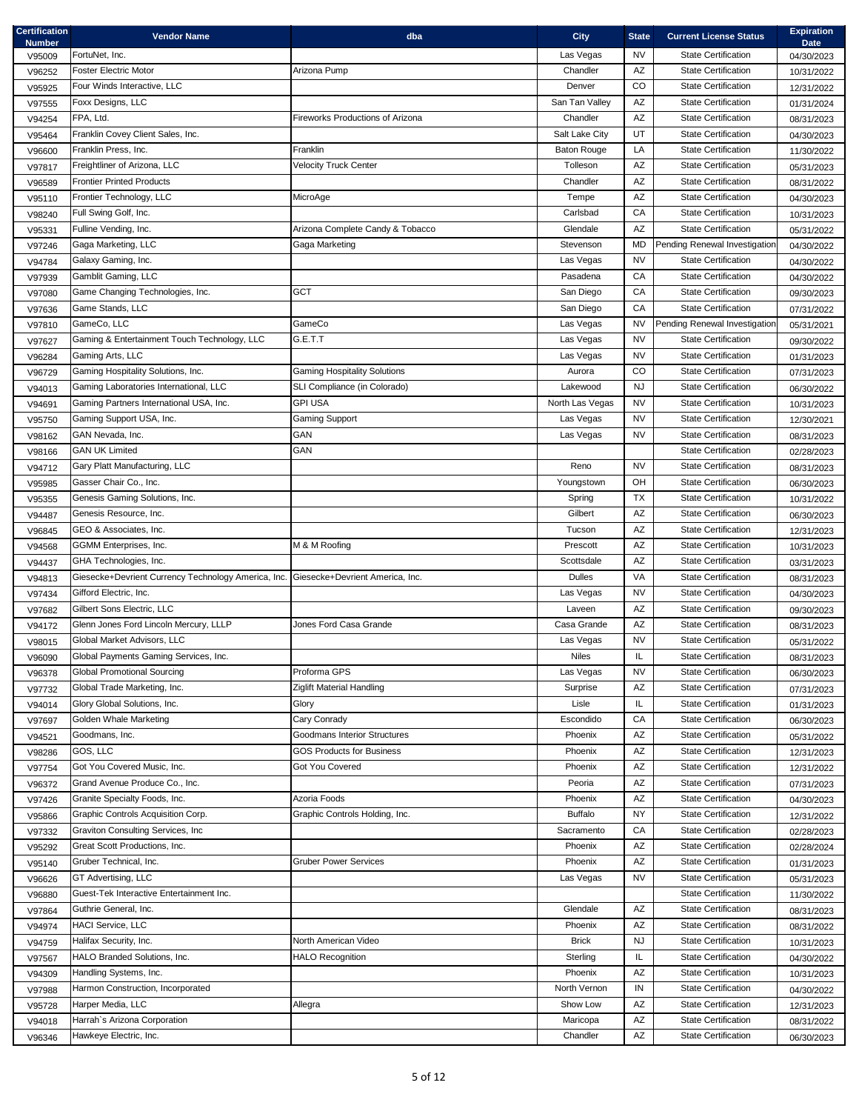| <b>Certification</b><br><b>Number</b> | <b>Vendor Name</b>                                  | dba                                     | <b>City</b>        | <b>State</b>           | <b>Current License Status</b> | <b>Expiration</b><br><b>Date</b> |
|---------------------------------------|-----------------------------------------------------|-----------------------------------------|--------------------|------------------------|-------------------------------|----------------------------------|
| V95009                                | FortuNet, Inc.                                      |                                         | Las Vegas          | <b>NV</b>              | <b>State Certification</b>    | 04/30/2023                       |
| V96252                                | <b>Foster Electric Motor</b>                        | Arizona Pump                            | Chandler           | AZ                     | <b>State Certification</b>    | 10/31/2022                       |
| V95925                                | Four Winds Interactive, LLC                         |                                         | Denver             | CO                     | <b>State Certification</b>    | 12/31/2022                       |
| V97555                                | Foxx Designs, LLC                                   |                                         | San Tan Valley     | AZ                     | <b>State Certification</b>    | 01/31/2024                       |
| V94254                                | FPA, Ltd.                                           | <b>Fireworks Productions of Arizona</b> | Chandler           | $\mathsf{A}\mathsf{Z}$ | <b>State Certification</b>    | 08/31/2023                       |
| V95464                                | Franklin Covey Client Sales, Inc.                   |                                         | Salt Lake City     | UT                     | <b>State Certification</b>    | 04/30/2023                       |
| V96600                                | Franklin Press, Inc.                                | Franklin                                | <b>Baton Rouge</b> | LA                     | <b>State Certification</b>    | 11/30/2022                       |
| V97817                                | Freightliner of Arizona, LLC                        | <b>Velocity Truck Center</b>            | Tolleson           | $\mathsf{A}\mathsf{Z}$ | <b>State Certification</b>    | 05/31/2023                       |
| V96589                                | <b>Frontier Printed Products</b>                    |                                         | Chandler           | $\mathsf{A}\mathsf{Z}$ | <b>State Certification</b>    | 08/31/2022                       |
| V95110                                | Frontier Technology, LLC                            | MicroAge                                | Tempe              | AZ                     | <b>State Certification</b>    | 04/30/2023                       |
| V98240                                | Full Swing Golf, Inc.                               |                                         | Carlsbad           | ${\sf CA}$             | State Certification           | 10/31/2023                       |
| V95331                                | Fulline Vending, Inc.                               | Arizona Complete Candy & Tobacco        | Glendale           | AZ                     | <b>State Certification</b>    | 05/31/2022                       |
| V97246                                | Gaga Marketing, LLC                                 | Gaga Marketing                          | Stevenson          | MD                     | Pending Renewal Investigation | 04/30/2022                       |
| V94784                                | Galaxy Gaming, Inc.                                 |                                         | Las Vegas          | <b>NV</b>              | <b>State Certification</b>    | 04/30/2022                       |
| V97939                                | Gamblit Gaming, LLC                                 |                                         | Pasadena           | CA                     | <b>State Certification</b>    | 04/30/2022                       |
| V97080                                | Game Changing Technologies, Inc.                    | <b>GCT</b>                              | San Diego          | CA                     | <b>State Certification</b>    | 09/30/2023                       |
| V97636                                | Game Stands, LLC                                    |                                         | San Diego          | CA                     | <b>State Certification</b>    | 07/31/2022                       |
| V97810                                | GameCo, LLC                                         | GameCo                                  | Las Vegas          | <b>NV</b>              | Pending Renewal Investigation | 05/31/2021                       |
| V97627                                | Gaming & Entertainment Touch Technology, LLC        | G.E.T.T                                 | Las Vegas          | <b>NV</b>              | <b>State Certification</b>    | 09/30/2022                       |
| V96284                                | Gaming Arts, LLC                                    |                                         | Las Vegas          | <b>NV</b>              | <b>State Certification</b>    | 01/31/2023                       |
| V96729                                | Gaming Hospitality Solutions, Inc.                  | <b>Gaming Hospitality Solutions</b>     | Aurora             | CO.                    | <b>State Certification</b>    | 07/31/2023                       |
| V94013                                | Gaming Laboratories International, LLC              | SLI Compliance (in Colorado)            | Lakewood           | <b>NJ</b>              | State Certification           | 06/30/2022                       |
| V94691                                | Gaming Partners International USA, Inc.             | <b>GPI USA</b>                          | North Las Vegas    | <b>NV</b>              | <b>State Certification</b>    | 10/31/2023                       |
| V95750                                | Gaming Support USA, Inc.                            | <b>Gaming Support</b>                   | Las Vegas          | <b>NV</b>              | <b>State Certification</b>    | 12/30/2021                       |
| V98162                                | GAN Nevada, Inc.                                    | GAN                                     | Las Vegas          | NV                     | <b>State Certification</b>    | 08/31/2023                       |
| V98166                                | <b>GAN UK Limited</b>                               | GAN                                     |                    |                        | <b>State Certification</b>    | 02/28/2023                       |
| V94712                                | Gary Platt Manufacturing, LLC                       |                                         | Reno               | <b>NV</b>              | <b>State Certification</b>    | 08/31/2023                       |
| V95985                                | Gasser Chair Co., Inc.                              |                                         | Youngstown         | OH                     | <b>State Certification</b>    | 06/30/2023                       |
| V95355                                | Genesis Gaming Solutions, Inc.                      |                                         | Spring             | TX                     | <b>State Certification</b>    | 10/31/2022                       |
| V94487                                | Genesis Resource, Inc.                              |                                         | Gilbert            | AZ                     | <b>State Certification</b>    | 06/30/2023                       |
| V96845                                | GEO & Associates, Inc.                              |                                         | Tucson             | AZ                     | State Certification           | 12/31/2023                       |
| V94568                                | GGMM Enterprises, Inc.                              | M & M Roofing                           | Prescott           | AZ                     | <b>State Certification</b>    | 10/31/2023                       |
| V94437                                | GHA Technologies, Inc.                              |                                         | Scottsdale         | AZ                     | <b>State Certification</b>    | 03/31/2023                       |
| V94813                                | Giesecke+Devrient Currency Technology America, Inc. | Giesecke+Devrient America. Inc.         | <b>Dulles</b>      | VA                     | <b>State Certification</b>    | 08/31/2023                       |
| V97434                                | Gifford Electric, Inc.                              |                                         | Las Vegas          | <b>NV</b>              | <b>State Certification</b>    | 04/30/2023                       |
| V97682                                | Gilbert Sons Electric, LLC                          |                                         | Laveen             | AZ                     | <b>State Certification</b>    | 09/30/2023                       |
| V94172                                | Glenn Jones Ford Lincoln Mercury, LLLP              | Jones Ford Casa Grande                  | Casa Grande        | AZ                     | <b>State Certification</b>    | 08/31/2023                       |
| V98015                                | Global Market Advisors, LLC                         |                                         | Las Vegas          | <b>NV</b>              | <b>State Certification</b>    | 05/31/2022                       |
| V96090                                | Global Payments Gaming Services, Inc.               |                                         | <b>Niles</b>       | IL.                    | <b>State Certification</b>    | 08/31/2023                       |
| V96378                                | <b>Global Promotional Sourcing</b>                  | Proforma GPS                            | Las Vegas          | <b>NV</b>              | <b>State Certification</b>    | 06/30/2023                       |
| V97732                                | Global Trade Marketing, Inc.                        | Ziglift Material Handling               | Surprise           | AZ                     | <b>State Certification</b>    | 07/31/2023                       |
| V94014                                | Glory Global Solutions, Inc.                        | Glory                                   | Lisle              | IL.                    | <b>State Certification</b>    | 01/31/2023                       |
| V97697                                | Golden Whale Marketing                              | Cary Conrady                            | Escondido          | CA                     | <b>State Certification</b>    | 06/30/2023                       |
| V94521                                | Goodmans, Inc.                                      | Goodmans Interior Structures            | Phoenix            | AZ                     | <b>State Certification</b>    | 05/31/2022                       |
| V98286                                | GOS, LLC                                            | <b>GOS Products for Business</b>        | Phoenix            | AZ                     | State Certification           | 12/31/2023                       |
| V97754                                | Got You Covered Music, Inc.                         | Got You Covered                         | Phoenix            | AZ                     | <b>State Certification</b>    | 12/31/2022                       |
| V96372                                | Grand Avenue Produce Co., Inc.                      |                                         | Peoria             | AZ                     | <b>State Certification</b>    | 07/31/2023                       |
| V97426                                | Granite Specialty Foods, Inc.                       | Azoria Foods                            | Phoenix            | AZ                     | <b>State Certification</b>    | 04/30/2023                       |
| V95866                                | Graphic Controls Acquisition Corp.                  | Graphic Controls Holding, Inc.          | <b>Buffalo</b>     | <b>NY</b>              | <b>State Certification</b>    | 12/31/2022                       |
| V97332                                | Graviton Consulting Services, Inc                   |                                         | Sacramento         | CA                     | <b>State Certification</b>    | 02/28/2023                       |
| V95292                                | Great Scott Productions, Inc.                       |                                         | Phoenix            | AZ                     | <b>State Certification</b>    | 02/28/2024                       |
| V95140                                | Gruber Technical, Inc.                              | <b>Gruber Power Services</b>            | Phoenix            | AZ                     | <b>State Certification</b>    | 01/31/2023                       |
| V96626                                | GT Advertising, LLC                                 |                                         | Las Vegas          | <b>NV</b>              | <b>State Certification</b>    | 05/31/2023                       |
| V96880                                | Guest-Tek Interactive Entertainment Inc.            |                                         |                    |                        | <b>State Certification</b>    | 11/30/2022                       |
| V97864                                | Guthrie General, Inc.                               |                                         | Glendale           | $\mathsf{A}\mathsf{Z}$ | <b>State Certification</b>    | 08/31/2023                       |
| V94974                                | <b>HACI Service, LLC</b>                            |                                         | Phoenix            | AZ                     | <b>State Certification</b>    | 08/31/2022                       |
| V94759                                | Halifax Security, Inc.                              | North American Video                    | <b>Brick</b>       | <b>NJ</b>              | <b>State Certification</b>    | 10/31/2023                       |
| V97567                                | HALO Branded Solutions, Inc.                        | <b>HALO Recognition</b>                 | Sterling           | IL                     | <b>State Certification</b>    | 04/30/2022                       |
| V94309                                | Handling Systems, Inc.                              |                                         | Phoenix            | AZ                     | <b>State Certification</b>    | 10/31/2023                       |
| V97988                                | Harmon Construction, Incorporated                   |                                         | North Vernon       | IN                     | State Certification           | 04/30/2022                       |
| V95728                                | Harper Media, LLC                                   | Allegra                                 | Show Low           | AZ                     | <b>State Certification</b>    | 12/31/2023                       |
| V94018                                | Harrah's Arizona Corporation                        |                                         | Maricopa           | AZ                     | <b>State Certification</b>    | 08/31/2022                       |
| V96346                                | Hawkeye Electric, Inc.                              |                                         | Chandler           | $\mathsf{A}\mathsf{Z}$ | <b>State Certification</b>    | 06/30/2023                       |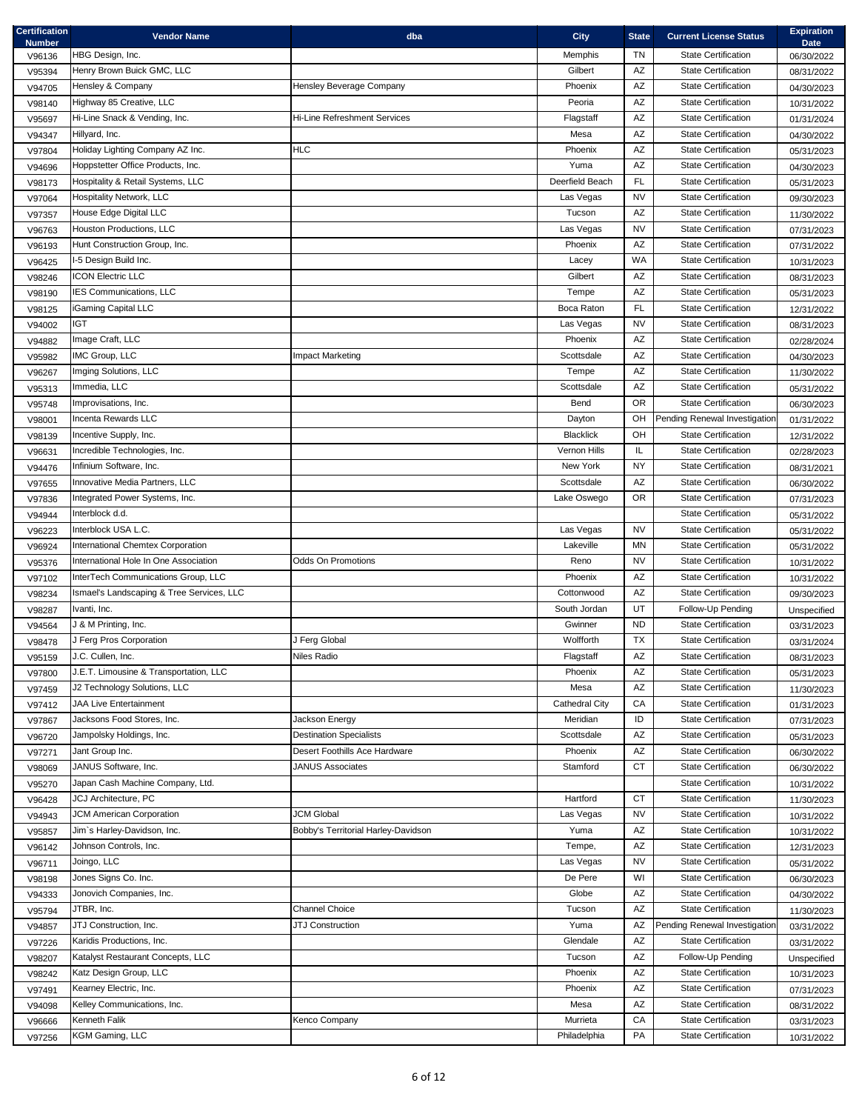| <b>Certification</b><br><b>Number</b> | <b>Vendor Name</b>                        | dba                                 | <b>City</b>      | <b>State</b>           | <b>Current License Status</b> | <b>Expiration</b><br><b>Date</b> |
|---------------------------------------|-------------------------------------------|-------------------------------------|------------------|------------------------|-------------------------------|----------------------------------|
| V96136                                | HBG Design, Inc.                          |                                     | Memphis          | <b>TN</b>              | <b>State Certification</b>    | 06/30/2022                       |
| V95394                                | Henry Brown Buick GMC, LLC                |                                     | Gilbert          | AZ                     | <b>State Certification</b>    | 08/31/2022                       |
| V94705                                | Hensley & Company                         | Hensley Beverage Company            | Phoenix          | $\mathsf{A}\mathsf{Z}$ | <b>State Certification</b>    | 04/30/2023                       |
| V98140                                | Highway 85 Creative, LLC                  |                                     | Peoria           | AZ                     | <b>State Certification</b>    | 10/31/2022                       |
| V95697                                | Hi-Line Snack & Vending, Inc.             | <b>Hi-Line Refreshment Services</b> | Flagstaff        | AZ                     | <b>State Certification</b>    | 01/31/2024                       |
| V94347                                | Hillyard, Inc.                            |                                     | Mesa             | $\mathsf{A}\mathsf{Z}$ | <b>State Certification</b>    | 04/30/2022                       |
| V97804                                | Holiday Lighting Company AZ Inc.          | <b>HLC</b>                          | Phoenix          | AZ                     | State Certification           | 05/31/2023                       |
| V94696                                | Hoppstetter Office Products, Inc.         |                                     | Yuma             | AZ                     | <b>State Certification</b>    | 04/30/2023                       |
| V98173                                | Hospitality & Retail Systems, LLC         |                                     | Deerfield Beach  | FL                     | <b>State Certification</b>    | 05/31/2023                       |
| V97064                                | <b>Hospitality Network, LLC</b>           |                                     | Las Vegas        | <b>NV</b>              | <b>State Certification</b>    | 09/30/2023                       |
| V97357                                | House Edge Digital LLC                    |                                     | Tucson           | AZ                     | <b>State Certification</b>    | 11/30/2022                       |
| V96763                                | Houston Productions, LLC                  |                                     | Las Vegas        | <b>NV</b>              | <b>State Certification</b>    | 07/31/2023                       |
| V96193                                | Hunt Construction Group, Inc.             |                                     | Phoenix          | AZ                     | <b>State Certification</b>    | 07/31/2022                       |
| V96425                                | I-5 Design Build Inc.                     |                                     | Lacey            | <b>WA</b>              | <b>State Certification</b>    | 10/31/2023                       |
| V98246                                | <b>ICON Electric LLC</b>                  |                                     | Gilbert          | AZ                     | <b>State Certification</b>    | 08/31/2023                       |
| V98190                                | IES Communications, LLC                   |                                     | Tempe            | $\mathsf{A}\mathsf{Z}$ | <b>State Certification</b>    | 05/31/2023                       |
| V98125                                | iGaming Capital LLC                       |                                     | Boca Raton       | FL.                    | <b>State Certification</b>    | 12/31/2022                       |
| V94002                                | <b>IGT</b>                                |                                     | Las Vegas        | <b>NV</b>              | <b>State Certification</b>    | 08/31/2023                       |
| V94882                                | Image Craft, LLC                          |                                     | Phoenix          | $\mathsf{A}\mathsf{Z}$ | <b>State Certification</b>    | 02/28/2024                       |
| V95982                                | IMC Group, LLC                            | Impact Marketing                    | Scottsdale       | AZ                     | <b>State Certification</b>    | 04/30/2023                       |
| V96267                                | Imging Solutions, LLC                     |                                     | Tempe            | $\mathsf{A}\mathsf{Z}$ | <b>State Certification</b>    | 11/30/2022                       |
| V95313                                | Immedia, LLC                              |                                     | Scottsdale       | AZ                     | <b>State Certification</b>    | 05/31/2022                       |
| V95748                                | Improvisations, Inc.                      |                                     | Bend             | <b>OR</b>              | <b>State Certification</b>    | 06/30/2023                       |
| V98001                                | Incenta Rewards LLC                       |                                     | Dayton           | OH                     | Pending Renewal Investigation | 01/31/2022                       |
| V98139                                | Incentive Supply, Inc.                    |                                     | <b>Blacklick</b> | OH                     | <b>State Certification</b>    | 12/31/2022                       |
| V96631                                | Incredible Technologies, Inc.             |                                     | Vernon Hills     | IL.                    | <b>State Certification</b>    | 02/28/2023                       |
| V94476                                | Infinium Software, Inc.                   |                                     | New York         | <b>NY</b>              | <b>State Certification</b>    | 08/31/2021                       |
| V97655                                | Innovative Media Partners, LLC            |                                     | Scottsdale       | AZ                     | <b>State Certification</b>    | 06/30/2022                       |
| V97836                                | Integrated Power Systems, Inc.            |                                     | Lake Oswego      | <b>OR</b>              | <b>State Certification</b>    | 07/31/2023                       |
| V94944                                | Interblock d.d.                           |                                     |                  |                        | <b>State Certification</b>    | 05/31/2022                       |
| V96223                                | Interblock USA L.C.                       |                                     | Las Vegas        | <b>NV</b>              | <b>State Certification</b>    | 05/31/2022                       |
| V96924                                | International Chemtex Corporation         |                                     | Lakeville        | ΜN                     | <b>State Certification</b>    | 05/31/2022                       |
| V95376                                | International Hole In One Association     | <b>Odds On Promotions</b>           | Reno             | NV                     | <b>State Certification</b>    | 10/31/2022                       |
| V97102                                | InterTech Communications Group, LLC       |                                     | Phoenix          | AZ                     | <b>State Certification</b>    | 10/31/2022                       |
| V98234                                | Ismael's Landscaping & Tree Services, LLC |                                     | Cottonwood       | AZ                     | <b>State Certification</b>    | 09/30/2023                       |
| V98287                                | Ivanti, Inc.                              |                                     | South Jordan     | UT                     | Follow-Up Pending             | Unspecified                      |
| V94564                                | J & M Printing, Inc.                      |                                     | Gwinner          | <b>ND</b>              | <b>State Certification</b>    | 03/31/2023                       |
| V98478                                | J Ferg Pros Corporation                   | J Ferg Global                       | Wolfforth        | <b>TX</b>              | <b>State Certification</b>    | 03/31/2024                       |
| V95159                                | J.C. Cullen, Inc.                         | Niles Radio                         | Flagstaff        | AZ                     | <b>State Certification</b>    | 08/31/2023                       |
| V97800                                | J.E.T. Limousine & Transportation, LLC    |                                     | Phoenix          | AZ                     | State Certification           | 05/31/2023                       |
| V97459                                | J2 Technology Solutions, LLC              |                                     | Mesa             | AZ                     | <b>State Certification</b>    | 11/30/2023                       |
| V97412                                | <b>JAA Live Entertainment</b>             |                                     | Cathedral City   | CA                     | <b>State Certification</b>    | 01/31/2023                       |
| V97867                                | Jacksons Food Stores, Inc.                | Jackson Energy                      | Meridian         | ID                     | <b>State Certification</b>    | 07/31/2023                       |
| V96720                                | Jampolsky Holdings, Inc.                  | <b>Destination Specialists</b>      | Scottsdale       | $\mathsf{A}\mathsf{Z}$ | <b>State Certification</b>    | 05/31/2023                       |
| V97271                                | Jant Group Inc.                           | Desert Foothills Ace Hardware       | Phoenix          | $\mathsf{A}\mathsf{Z}$ | <b>State Certification</b>    | 06/30/2022                       |
| V98069                                | JANUS Software, Inc.                      | JANUS Associates                    | Stamford         | <b>CT</b>              | <b>State Certification</b>    | 06/30/2022                       |
| V95270                                | Japan Cash Machine Company, Ltd.          |                                     |                  |                        | <b>State Certification</b>    | 10/31/2022                       |
| V96428                                | <b>JCJ Architecture, PC</b>               |                                     | Hartford         | <b>CT</b>              | <b>State Certification</b>    | 11/30/2023                       |
| V94943                                | JCM American Corporation                  | <b>JCM Global</b>                   | Las Vegas        | <b>NV</b>              | <b>State Certification</b>    | 10/31/2022                       |
| V95857                                | Jim's Harley-Davidson, Inc.               | Bobby's Territorial Harley-Davidson | Yuma             | AZ                     | <b>State Certification</b>    | 10/31/2022                       |
| V96142                                | Johnson Controls, Inc.                    |                                     | Tempe,           | AZ                     | <b>State Certification</b>    | 12/31/2023                       |
| V96711                                | Joingo, LLC                               |                                     | Las Vegas        | <b>NV</b>              | <b>State Certification</b>    | 05/31/2022                       |
| V98198                                | Jones Signs Co. Inc.                      |                                     | De Pere          | WI                     | <b>State Certification</b>    | 06/30/2023                       |
| V94333                                | Jonovich Companies, Inc.                  |                                     | Globe            | AZ                     | <b>State Certification</b>    | 04/30/2022                       |
| V95794                                | JTBR, Inc.                                | Channel Choice                      | Tucson           | AZ                     | <b>State Certification</b>    | 11/30/2023                       |
| V94857                                | JTJ Construction, Inc.                    | <b>JTJ Construction</b>             | Yuma             | AZ                     | Pending Renewal Investigation | 03/31/2022                       |
| V97226                                | Karidis Productions, Inc.                 |                                     | Glendale         | AZ                     | <b>State Certification</b>    | 03/31/2022                       |
| V98207                                | Katalyst Restaurant Concepts, LLC         |                                     | Tucson           | $\mathsf{A}\mathsf{Z}$ | Follow-Up Pending             | Unspecified                      |
| V98242                                | Katz Design Group, LLC                    |                                     | Phoenix          | AZ                     | <b>State Certification</b>    | 10/31/2023                       |
| V97491                                | Kearney Electric, Inc.                    |                                     | Phoenix          | AZ                     | State Certification           | 07/31/2023                       |
| V94098                                | Kelley Communications, Inc.               |                                     | Mesa             | AZ                     | <b>State Certification</b>    | 08/31/2022                       |
| V96666                                | Kenneth Falik                             | Kenco Company                       | Murrieta         | CA                     | <b>State Certification</b>    | 03/31/2023                       |
| V97256                                | <b>KGM Gaming, LLC</b>                    |                                     | Philadelphia     | PA                     | <b>State Certification</b>    | 10/31/2022                       |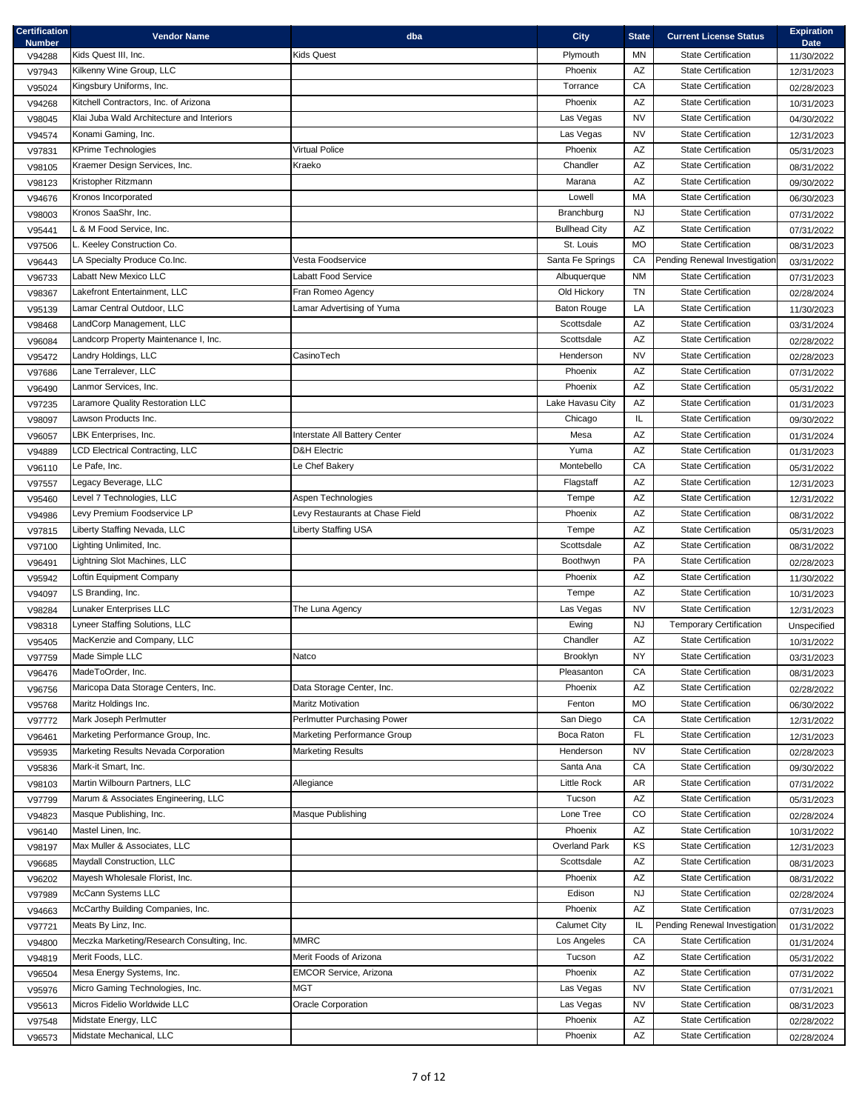| <b>Certification</b><br><b>Number</b> | <b>Vendor Name</b>                                       | dba                             | <b>City</b>          | <b>State</b>           | <b>Current License Status</b>                            | <b>Expiration</b><br><b>Date</b> |
|---------------------------------------|----------------------------------------------------------|---------------------------------|----------------------|------------------------|----------------------------------------------------------|----------------------------------|
| V94288                                | Kids Quest III, Inc.                                     | Kids Quest                      | Plymouth             | MN                     | <b>State Certification</b>                               | 11/30/2022                       |
| V97943                                | Kilkenny Wine Group, LLC                                 |                                 | Phoenix              | AZ                     | <b>State Certification</b>                               | 12/31/2023                       |
| V95024                                | Kingsbury Uniforms, Inc.                                 |                                 | Torrance             | CA                     | <b>State Certification</b>                               | 02/28/2023                       |
| V94268                                | Kitchell Contractors, Inc. of Arizona                    |                                 | Phoenix              | AZ                     | <b>State Certification</b>                               | 10/31/2023                       |
| V98045                                | Klai Juba Wald Architecture and Interiors                |                                 | Las Vegas            | <b>NV</b>              | <b>State Certification</b>                               | 04/30/2022                       |
| V94574                                | Konami Gaming, Inc.                                      |                                 | Las Vegas            | NV                     | <b>State Certification</b>                               | 12/31/2023                       |
| V97831                                | <b>KPrime Technologies</b>                               | <b>Virtual Police</b>           | Phoenix              | AZ                     | <b>State Certification</b>                               | 05/31/2023                       |
| V98105                                | Kraemer Design Services, Inc.                            | Kraeko                          | Chandler             | $\mathsf{A}\mathsf{Z}$ | <b>State Certification</b>                               | 08/31/2022                       |
| V98123                                | Kristopher Ritzmann                                      |                                 | Marana               | AZ                     | <b>State Certification</b>                               | 09/30/2022                       |
| V94676                                | Kronos Incorporated                                      |                                 | Lowell               | MA                     | <b>State Certification</b>                               | 06/30/2023                       |
| V98003                                | Kronos SaaShr, Inc.                                      |                                 | <b>Branchburg</b>    | <b>NJ</b>              | <b>State Certification</b>                               | 07/31/2022                       |
| V95441                                | L & M Food Service, Inc.                                 |                                 | <b>Bullhead City</b> | $\mathsf{A}\mathsf{Z}$ | <b>State Certification</b>                               | 07/31/2022                       |
| V97506                                | L. Keeley Construction Co.                               |                                 | St. Louis            | <b>MO</b>              | <b>State Certification</b>                               | 08/31/2023                       |
| V96443                                | LA Specialty Produce Co.Inc.                             | Vesta Foodservice               | Santa Fe Springs     | CA                     | Pending Renewal Investigation                            | 03/31/2022                       |
| V96733                                | Labatt New Mexico LLC                                    | Labatt Food Service             | Albuquerque          | <b>NM</b>              | <b>State Certification</b>                               | 07/31/2023                       |
| V98367                                | Lakefront Entertainment, LLC                             | Fran Romeo Agency               | Old Hickory          | <b>TN</b>              | <b>State Certification</b>                               | 02/28/2024                       |
| V95139                                | Lamar Central Outdoor, LLC                               | Lamar Advertising of Yuma       | <b>Baton Rouge</b>   | LA                     | <b>State Certification</b>                               | 11/30/2023                       |
| V98468                                | LandCorp Management, LLC                                 |                                 | Scottsdale           | $\mathsf{A}\mathsf{Z}$ | <b>State Certification</b>                               | 03/31/2024                       |
| V96084                                | Landcorp Property Maintenance I, Inc.                    |                                 | Scottsdale           | AZ                     | <b>State Certification</b>                               | 02/28/2022                       |
| V95472                                | Landry Holdings, LLC                                     | CasinoTech                      | Henderson            | <b>NV</b>              | <b>State Certification</b>                               | 02/28/2023                       |
| V97686                                | Lane Terralever, LLC                                     |                                 | Phoenix              | AZ                     | <b>State Certification</b>                               | 07/31/2022                       |
| V96490                                | Lanmor Services, Inc.                                    |                                 | Phoenix              | $\mathsf{A}\mathsf{Z}$ | <b>State Certification</b>                               | 05/31/2022                       |
| V97235                                | Laramore Quality Restoration LLC                         |                                 | Lake Havasu City     | AZ                     | <b>State Certification</b>                               | 01/31/2023                       |
| V98097                                | Lawson Products Inc.                                     |                                 | Chicago              | IL.                    | <b>State Certification</b>                               | 09/30/2022                       |
| V96057                                | LBK Enterprises, Inc.                                    | Interstate All Battery Center   | Mesa                 | AZ                     | <b>State Certification</b>                               | 01/31/2024                       |
| V94889                                | <b>LCD Electrical Contracting, LLC</b>                   | <b>D&amp;H Electric</b>         | Yuma                 | AZ                     | <b>State Certification</b>                               | 01/31/2023                       |
| V96110                                | Le Pafe, Inc.                                            | Le Chef Bakery                  | Montebello           | ${\sf CA}$             | <b>State Certification</b>                               | 05/31/2022                       |
| V97557                                | Legacy Beverage, LLC                                     |                                 | Flagstaff            | AZ                     | State Certification                                      | 12/31/2023                       |
| V95460                                | Level 7 Technologies, LLC                                | Aspen Technologies              | Tempe                | $\mathsf{A}\mathsf{Z}$ | <b>State Certification</b>                               | 12/31/2022                       |
| V94986                                | Levy Premium Foodservice LP                              | Levy Restaurants at Chase Field | Phoenix              | AZ                     | <b>State Certification</b>                               | 08/31/2022                       |
| V97815                                | Liberty Staffing Nevada, LLC                             | <b>Liberty Staffing USA</b>     | Tempe                | AZ                     | <b>State Certification</b>                               | 05/31/2023                       |
| V97100                                | Lighting Unlimited, Inc.<br>Lightning Slot Machines, LLC |                                 | Scottsdale           | AZ<br>PA               | <b>State Certification</b><br><b>State Certification</b> | 08/31/2022                       |
| V96491                                |                                                          |                                 | Boothwyn<br>Phoenix  |                        | <b>State Certification</b>                               | 02/28/2023                       |
| V95942                                | Loftin Equipment Company                                 |                                 |                      | AZ<br>AZ               | <b>State Certification</b>                               | 11/30/2022                       |
| V94097                                | LS Branding, Inc.<br>Lunaker Enterprises LLC             |                                 | Tempe                | <b>NV</b>              | <b>State Certification</b>                               | 10/31/2023                       |
| V98284                                | Lyneer Staffing Solutions, LLC                           | The Luna Agency                 | Las Vegas            | <b>NJ</b>              | <b>Temporary Certification</b>                           | 12/31/2023                       |
| V98318                                | MacKenzie and Company, LLC                               |                                 | Ewing<br>Chandler    | AZ                     | <b>State Certification</b>                               | Unspecified                      |
| V95405                                | Made Simple LLC                                          | Natco                           | Brooklyn             | <b>NY</b>              | <b>State Certification</b>                               | 10/31/2022                       |
| V97759<br>V96476                      | MadeToOrder, Inc.                                        |                                 | Pleasanton           | CA                     | <b>State Certification</b>                               | 03/31/2023                       |
| V96756                                | Maricopa Data Storage Centers, Inc.                      | Data Storage Center, Inc.       | Phoenix              | AZ                     | <b>State Certification</b>                               | 08/31/2023<br>02/28/2022         |
| V95768                                | Maritz Holdings Inc.                                     | <b>Maritz Motivation</b>        | Fenton               | <b>MO</b>              | <b>State Certification</b>                               | 06/30/2022                       |
| V97772                                | Mark Joseph Perlmutter                                   | Perlmutter Purchasing Power     | San Diego            | CA                     | <b>State Certification</b>                               | 12/31/2022                       |
| V96461                                | Marketing Performance Group, Inc.                        | Marketing Performance Group     | Boca Raton           | FL.                    | <b>State Certification</b>                               | 12/31/2023                       |
| V95935                                | Marketing Results Nevada Corporation                     | <b>Marketing Results</b>        | Henderson            | <b>NV</b>              | <b>State Certification</b>                               | 02/28/2023                       |
| V95836                                | Mark-it Smart, Inc.                                      |                                 | Santa Ana            | CA                     | <b>State Certification</b>                               | 09/30/2022                       |
| V98103                                | Martin Wilbourn Partners, LLC                            | Allegiance                      | <b>Little Rock</b>   | AR                     | <b>State Certification</b>                               | 07/31/2022                       |
| V97799                                | Marum & Associates Engineering, LLC                      |                                 | Tucson               | AZ                     | <b>State Certification</b>                               | 05/31/2023                       |
| V94823                                | Masque Publishing, Inc.                                  | Masque Publishing               | Lone Tree            | CO                     | State Certification                                      | 02/28/2024                       |
| V96140                                | Mastel Linen, Inc.                                       |                                 | Phoenix              | AZ                     | <b>State Certification</b>                               | 10/31/2022                       |
| V98197                                | Max Muller & Associates, LLC                             |                                 | <b>Overland Park</b> | KS                     | <b>State Certification</b>                               | 12/31/2023                       |
| V96685                                | Maydall Construction, LLC                                |                                 | Scottsdale           | $\mathsf{A}\mathsf{Z}$ | <b>State Certification</b>                               | 08/31/2023                       |
| V96202                                | Mayesh Wholesale Florist, Inc.                           |                                 | Phoenix              | AZ                     | <b>State Certification</b>                               | 08/31/2022                       |
| V97989                                | McCann Systems LLC                                       |                                 | Edison               | <b>NJ</b>              | <b>State Certification</b>                               | 02/28/2024                       |
| V94663                                | McCarthy Building Companies, Inc.                        |                                 | Phoenix              | AZ                     | <b>State Certification</b>                               | 07/31/2023                       |
| V97721                                | Meats By Linz, Inc.                                      |                                 | <b>Calumet City</b>  | IL                     | Pending Renewal Investigation                            | 01/31/2022                       |
| V94800                                | Meczka Marketing/Research Consulting, Inc.               | <b>MMRC</b>                     | Los Angeles          | CA                     | State Certification                                      | 01/31/2024                       |
| V94819                                | Merit Foods, LLC.                                        | Merit Foods of Arizona          | Tucson               | AZ                     | <b>State Certification</b>                               | 05/31/2022                       |
| V96504                                | Mesa Energy Systems, Inc.                                | <b>EMCOR Service, Arizona</b>   | Phoenix              | AZ                     | <b>State Certification</b>                               | 07/31/2022                       |
| V95976                                | Micro Gaming Technologies, Inc.                          | <b>MGT</b>                      | Las Vegas            | <b>NV</b>              | <b>State Certification</b>                               | 07/31/2021                       |
| V95613                                | Micros Fidelio Worldwide LLC                             | Oracle Corporation              | Las Vegas            | <b>NV</b>              | <b>State Certification</b>                               | 08/31/2023                       |
| V97548                                | Midstate Energy, LLC                                     |                                 | Phoenix              | $\mathsf{A}\mathsf{Z}$ | State Certification                                      | 02/28/2022                       |
| V96573                                | Midstate Mechanical, LLC                                 |                                 | Phoenix              | AZ                     | <b>State Certification</b>                               | 02/28/2024                       |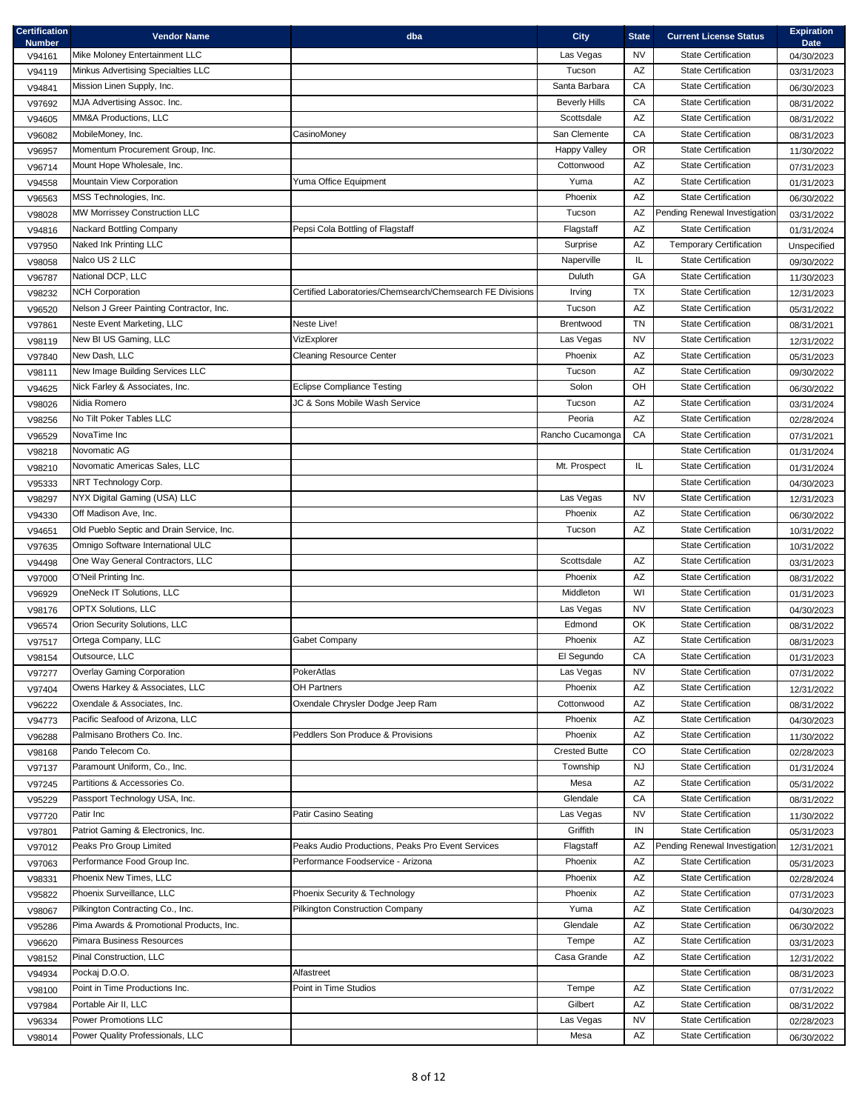| Certification<br><b>Number</b> | <b>Vendor Name</b>                        | dba                                                       | <b>City</b>          | <b>State</b>           | <b>Current License Status</b>  | <b>Expiration</b><br><b>Date</b> |
|--------------------------------|-------------------------------------------|-----------------------------------------------------------|----------------------|------------------------|--------------------------------|----------------------------------|
| V94161                         | Mike Moloney Entertainment LLC            |                                                           | Las Vegas            | <b>NV</b>              | <b>State Certification</b>     | 04/30/2023                       |
| V94119                         | Minkus Advertising Specialties LLC        |                                                           | Tucson               | AZ                     | <b>State Certification</b>     | 03/31/2023                       |
| V94841                         | Mission Linen Supply, Inc.                |                                                           | Santa Barbara        | CA                     | <b>State Certification</b>     | 06/30/2023                       |
| V97692                         | MJA Advertising Assoc. Inc.               |                                                           | <b>Beverly Hills</b> | CA                     | <b>State Certification</b>     | 08/31/2022                       |
| V94605                         | MM&A Productions, LLC                     |                                                           | Scottsdale           | $\mathsf{A}\mathsf{Z}$ | <b>State Certification</b>     | 08/31/2022                       |
| V96082                         | MobileMoney, Inc.                         | CasinoMoney                                               | San Clemente         | CA                     | <b>State Certification</b>     | 08/31/2023                       |
| V96957                         | Momentum Procurement Group, Inc.          |                                                           | <b>Happy Valley</b>  | <b>OR</b>              | <b>State Certification</b>     | 11/30/2022                       |
| V96714                         | Mount Hope Wholesale, Inc.                |                                                           | Cottonwood           | $\mathsf{A}\mathsf{Z}$ | <b>State Certification</b>     | 07/31/2023                       |
| V94558                         | Mountain View Corporation                 | Yuma Office Equipment                                     | Yuma                 | $\mathsf{A}\mathsf{Z}$ | <b>State Certification</b>     | 01/31/2023                       |
| V96563                         | MSS Technologies, Inc.                    |                                                           | Phoenix              | AZ                     | <b>State Certification</b>     | 06/30/2022                       |
| V98028                         | MW Morrissey Construction LLC             |                                                           | Tucson               | AZ                     | Pending Renewal Investigation  | 03/31/2022                       |
| V94816                         | Nackard Bottling Company                  | Pepsi Cola Bottling of Flagstaff                          | Flagstaff            | $\mathsf{A}\mathsf{Z}$ | <b>State Certification</b>     | 01/31/2024                       |
| V97950                         | Naked Ink Printing LLC                    |                                                           | Surprise             | $\mathsf{A}\mathsf{Z}$ | <b>Temporary Certification</b> | Unspecified                      |
| V98058                         | Nalco US 2 LLC                            |                                                           | Naperville           | IL.                    | <b>State Certification</b>     | 09/30/2022                       |
| V96787                         | National DCP, LLC                         |                                                           | Duluth               | GA                     | <b>State Certification</b>     | 11/30/2023                       |
| V98232                         | <b>NCH Corporation</b>                    | Certified Laboratories/Chemsearch/Chemsearch FE Divisions | Irving               | <b>TX</b>              | <b>State Certification</b>     | 12/31/2023                       |
| V96520                         | Nelson J Greer Painting Contractor, Inc.  |                                                           | Tucson               | AZ                     | <b>State Certification</b>     | 05/31/2022                       |
| V97861                         | Neste Event Marketing, LLC                | Neste Live!                                               | Brentwood            | <b>TN</b>              | <b>State Certification</b>     | 08/31/2021                       |
| V98119                         | New BI US Gaming, LLC                     | VizExplorer                                               | Las Vegas            | <b>NV</b>              | <b>State Certification</b>     | 12/31/2022                       |
| V97840                         | New Dash, LLC                             | <b>Cleaning Resource Center</b>                           | Phoenix              | AZ                     | <b>State Certification</b>     | 05/31/2023                       |
| V98111                         | New Image Building Services LLC           |                                                           | Tucson               | $\mathsf{A}\mathsf{Z}$ | <b>State Certification</b>     | 09/30/2022                       |
| V94625                         | Nick Farley & Associates, Inc.            | <b>Eclipse Compliance Testing</b>                         | Solon                | OH                     | <b>State Certification</b>     | 06/30/2022                       |
| V98026                         | Nidia Romero                              | JC & Sons Mobile Wash Service                             | Tucson               | AZ                     | <b>State Certification</b>     | 03/31/2024                       |
| V98256                         | No Tilt Poker Tables LLC                  |                                                           | Peoria               | AZ                     | <b>State Certification</b>     | 02/28/2024                       |
| V96529                         | NovaTime Inc                              |                                                           | Rancho Cucamonga     | ${\sf CA}$             | <b>State Certification</b>     | 07/31/2021                       |
| V98218                         | Novomatic AG                              |                                                           |                      |                        | <b>State Certification</b>     | 01/31/2024                       |
| V98210                         | Novomatic Americas Sales, LLC             |                                                           | Mt. Prospect         | IL.                    | <b>State Certification</b>     | 01/31/2024                       |
| V95333                         | NRT Technology Corp.                      |                                                           |                      |                        | <b>State Certification</b>     | 04/30/2023                       |
| V98297                         | NYX Digital Gaming (USA) LLC              |                                                           | Las Vegas            | <b>NV</b>              | <b>State Certification</b>     | 12/31/2023                       |
| V94330                         | Off Madison Ave, Inc.                     |                                                           | Phoenix              | AZ                     | <b>State Certification</b>     | 06/30/2022                       |
| V94651                         | Old Pueblo Septic and Drain Service, Inc. |                                                           | Tucson               | AZ                     | <b>State Certification</b>     | 10/31/2022                       |
| V97635                         | Omnigo Software International ULC         |                                                           |                      |                        | <b>State Certification</b>     | 10/31/2022                       |
| V94498                         | One Way General Contractors, LLC          |                                                           | Scottsdale           | AZ                     | <b>State Certification</b>     | 03/31/2023                       |
| V97000                         | O'Neil Printing Inc.                      |                                                           | Phoenix              | AZ                     | <b>State Certification</b>     | 08/31/2022                       |
| V96929                         | OneNeck IT Solutions, LLC                 |                                                           | Middleton            | WI                     | <b>State Certification</b>     | 01/31/2023                       |
| V98176                         | <b>OPTX Solutions, LLC</b>                |                                                           | Las Vegas            | <b>NV</b>              | <b>State Certification</b>     | 04/30/2023                       |
| V96574                         | Orion Security Solutions, LLC             |                                                           | Edmond               | OK                     | <b>State Certification</b>     | 08/31/2022                       |
| V97517                         | Ortega Company, LLC                       | Gabet Company                                             | Phoenix              | AZ                     | <b>State Certification</b>     | 08/31/2023                       |
| V98154                         | Outsource, LLC                            |                                                           | El Segundo           | CA                     | <b>State Certification</b>     | 01/31/2023                       |
| V97277                         | <b>Overlay Gaming Corporation</b>         | PokerAtlas                                                | Las Vegas            | <b>NV</b>              | <b>State Certification</b>     | 07/31/2022                       |
| V97404                         | Owens Harkey & Associates, LLC            | OH Partners                                               | Phoenix              | AZ                     | <b>State Certification</b>     | 12/31/2022                       |
| V96222                         | Oxendale & Associates, Inc.               | Oxendale Chrysler Dodge Jeep Ram                          | Cottonwood           | $\mathsf{A}\mathsf{Z}$ | <b>State Certification</b>     | 08/31/2022                       |
| V94773                         | Pacific Seafood of Arizona, LLC           |                                                           | Phoenix              | AZ                     | <b>State Certification</b>     | 04/30/2023                       |
| V96288                         | Palmisano Brothers Co. Inc.               | Peddlers Son Produce & Provisions                         | Phoenix              | AZ                     | <b>State Certification</b>     | 11/30/2022                       |
| V98168                         | Pando Telecom Co.                         |                                                           | <b>Crested Butte</b> | CO                     | <b>State Certification</b>     | 02/28/2023                       |
| V97137                         | Paramount Uniform, Co., Inc.              |                                                           | Township             | NJ                     | <b>State Certification</b>     | 01/31/2024                       |
| V97245                         | Partitions & Accessories Co.              |                                                           | Mesa                 | AZ                     | <b>State Certification</b>     | 05/31/2022                       |
| V95229                         | Passport Technology USA, Inc.             |                                                           | Glendale             | CA                     | <b>State Certification</b>     | 08/31/2022                       |
| V97720                         | Patir Inc                                 | Patir Casino Seating                                      | Las Vegas            | NV                     | <b>State Certification</b>     | 11/30/2022                       |
| V97801                         | Patriot Gaming & Electronics, Inc.        |                                                           | Griffith             | IN                     | <b>State Certification</b>     | 05/31/2023                       |
| V97012                         | Peaks Pro Group Limited                   | Peaks Audio Productions, Peaks Pro Event Services         | Flagstaff            | AZ                     | Pending Renewal Investigation  | 12/31/2021                       |
| V97063                         | Performance Food Group Inc.               | Performance Foodservice - Arizona                         | Phoenix              | AZ                     | <b>State Certification</b>     | 05/31/2023                       |
| V98331                         | Phoenix New Times, LLC                    |                                                           | Phoenix              | AZ                     | <b>State Certification</b>     | 02/28/2024                       |
| V95822                         | Phoenix Surveillance, LLC                 | Phoenix Security & Technology                             | Phoenix              | AZ                     | <b>State Certification</b>     | 07/31/2023                       |
| V98067                         | Pilkington Contracting Co., Inc.          | <b>Pilkington Construction Company</b>                    | Yuma                 | AZ                     | <b>State Certification</b>     | 04/30/2023                       |
| V95286                         | Pima Awards & Promotional Products, Inc.  |                                                           | Glendale             | AZ                     | <b>State Certification</b>     | 06/30/2022                       |
| V96620                         | Pimara Business Resources                 |                                                           | Tempe                | $\mathsf{A}\mathsf{Z}$ | <b>State Certification</b>     | 03/31/2023                       |
| V98152                         | Pinal Construction, LLC                   |                                                           | Casa Grande          | AZ                     | <b>State Certification</b>     | 12/31/2022                       |
| V94934                         | Pockaj D.O.O.                             | Alfastreet                                                |                      |                        | <b>State Certification</b>     | 08/31/2023                       |
| V98100                         | Point in Time Productions Inc.            | Point in Time Studios                                     | Tempe                | AZ                     | <b>State Certification</b>     | 07/31/2022                       |
| V97984                         | Portable Air II, LLC                      |                                                           | Gilbert              | AZ                     | <b>State Certification</b>     | 08/31/2022                       |
| V96334                         | <b>Power Promotions LLC</b>               |                                                           | Las Vegas            | <b>NV</b>              | <b>State Certification</b>     | 02/28/2023                       |
| V98014                         | Power Quality Professionals, LLC          |                                                           | Mesa                 | $\mathsf{A}\mathsf{Z}$ | <b>State Certification</b>     | 06/30/2022                       |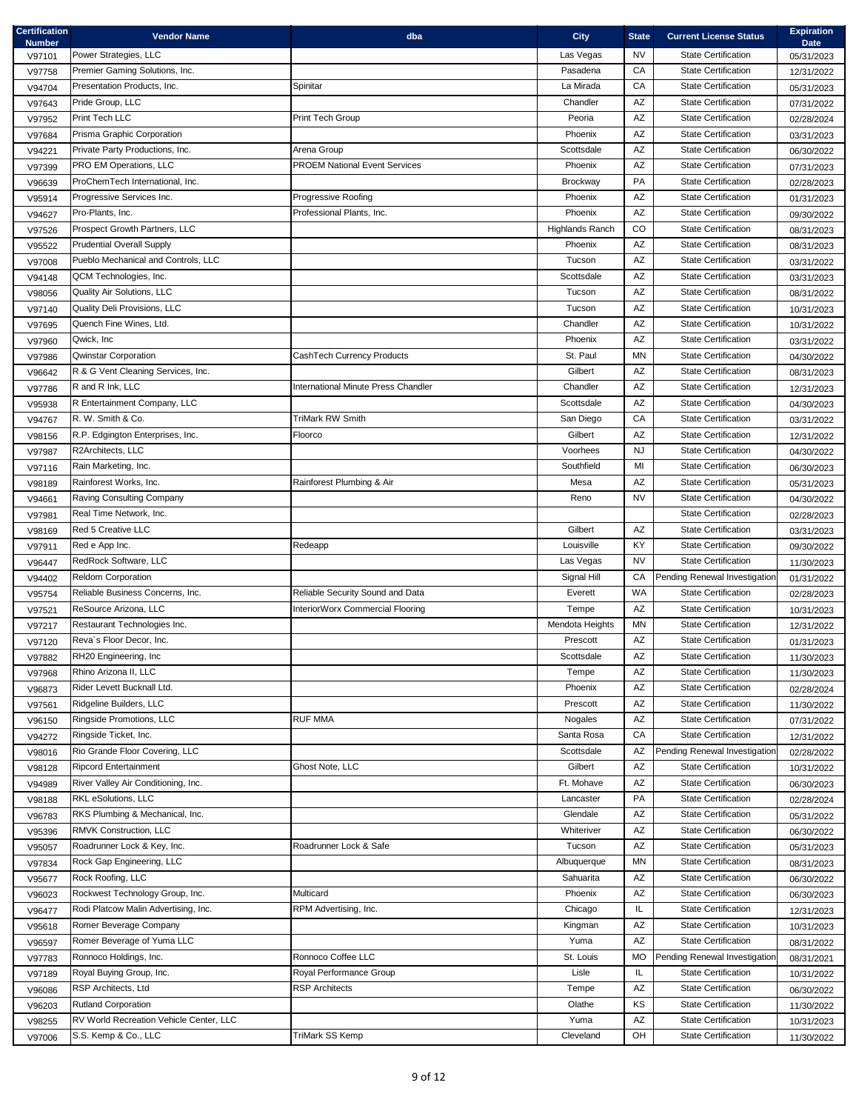| <b>Certification</b><br><b>Number</b> | <b>Vendor Name</b>                                                      | dba                                              | <b>City</b>            | <b>State</b>           | <b>Current License Status</b>                            | <b>Expiration</b><br><b>Date</b> |
|---------------------------------------|-------------------------------------------------------------------------|--------------------------------------------------|------------------------|------------------------|----------------------------------------------------------|----------------------------------|
| V97101                                | Power Strategies, LLC                                                   |                                                  | Las Vegas              | NV                     | <b>State Certification</b>                               | 05/31/2023                       |
| V97758                                | Premier Gaming Solutions, Inc.                                          |                                                  | Pasadena               | CA                     | <b>State Certification</b>                               | 12/31/2022                       |
| V94704                                | Presentation Products. Inc.                                             | Spinitar                                         | La Mirada              | CA                     | <b>State Certification</b>                               | 05/31/2023                       |
| V97643                                | Pride Group, LLC                                                        |                                                  | Chandler               | AZ                     | <b>State Certification</b>                               | 07/31/2022                       |
| V97952                                | Print Tech LLC                                                          | Print Tech Group                                 | Peoria                 | $\mathsf{A}\mathsf{Z}$ | <b>State Certification</b>                               | 02/28/2024                       |
| V97684                                | Prisma Graphic Corporation                                              |                                                  | Phoenix                | AZ                     | <b>State Certification</b>                               | 03/31/2023                       |
| V94221                                | Private Party Productions, Inc.                                         | Arena Group                                      | Scottsdale             | $\mathsf{A}\mathsf{Z}$ | <b>State Certification</b>                               | 06/30/2022                       |
| V97399                                | PRO EM Operations, LLC                                                  | <b>PROEM National Event Services</b>             | Phoenix                | $\mathsf{A}\mathsf{Z}$ | <b>State Certification</b>                               | 07/31/2023                       |
| V96639                                | ProChemTech International, Inc.                                         |                                                  | Brockway               | PA                     | <b>State Certification</b>                               | 02/28/2023                       |
| V95914                                | Progressive Services Inc.                                               | Progressive Roofing                              | Phoenix                | AZ                     | <b>State Certification</b>                               | 01/31/2023                       |
| V94627                                | Pro-Plants, Inc.                                                        | Professional Plants, Inc.                        | Phoenix                | $\mathsf{A}\mathsf{Z}$ | <b>State Certification</b>                               | 09/30/2022                       |
| V97526                                | Prospect Growth Partners, LLC                                           |                                                  | <b>Highlands Ranch</b> | CO                     | <b>State Certification</b>                               | 08/31/2023                       |
| V95522                                | <b>Prudential Overall Supply</b>                                        |                                                  | Phoenix                | AZ                     | <b>State Certification</b>                               | 08/31/2023                       |
| V97008                                | Pueblo Mechanical and Controls, LLC                                     |                                                  | Tucson                 | AZ                     | <b>State Certification</b>                               | 03/31/2022                       |
| V94148                                | QCM Technologies, Inc.                                                  |                                                  | Scottsdale             | $\mathsf{A}\mathsf{Z}$ | <b>State Certification</b>                               | 03/31/2023                       |
| V98056                                | Quality Air Solutions, LLC                                              |                                                  | Tucson                 | AZ                     | <b>State Certification</b>                               | 08/31/2022                       |
| V97140                                | Quality Deli Provisions, LLC                                            |                                                  | Tucson                 | AZ                     | <b>State Certification</b>                               | 10/31/2023                       |
| V97695                                | Quench Fine Wines, Ltd.                                                 |                                                  | Chandler               | AZ                     | <b>State Certification</b>                               | 10/31/2022                       |
| V97960                                | Qwick, Inc.                                                             |                                                  | Phoenix                | $\mathsf{A}\mathsf{Z}$ | <b>State Certification</b>                               | 03/31/2022                       |
| V97986                                | <b>Qwinstar Corporation</b>                                             | CashTech Currency Products                       | St. Paul               | MN                     | <b>State Certification</b>                               | 04/30/2022                       |
| V96642                                | R & G Vent Cleaning Services, Inc.                                      |                                                  | Gilbert                | AZ                     | <b>State Certification</b>                               | 08/31/2023                       |
| V97786                                | R and R Ink, LLC                                                        | International Minute Press Chandler              | Chandler               | AZ                     | <b>State Certification</b>                               | 12/31/2023                       |
| V95938                                | R Entertainment Company, LLC                                            |                                                  | Scottsdale             | $\mathsf{A}\mathsf{Z}$ | <b>State Certification</b>                               | 04/30/2023                       |
| V94767                                | R. W. Smith & Co.                                                       | <b>TriMark RW Smith</b>                          | San Diego              | CA                     | <b>State Certification</b>                               | 03/31/2022                       |
| V98156                                | R.P. Edgington Enterprises, Inc.                                        | Floorco                                          | Gilbert                | AZ                     | <b>State Certification</b>                               | 12/31/2022                       |
| V97987                                | R2Architects, LLC                                                       |                                                  | Voorhees               | <b>NJ</b>              | <b>State Certification</b>                               | 04/30/2022                       |
| V97116                                | Rain Marketing, Inc.                                                    |                                                  | Southfield             | MI                     | <b>State Certification</b>                               | 06/30/2023                       |
| V98189                                | Rainforest Works, Inc.                                                  | Rainforest Plumbing & Air                        | Mesa                   | AZ                     | <b>State Certification</b>                               | 05/31/2023                       |
| V94661                                | Raving Consulting Company                                               |                                                  | Reno                   | <b>NV</b>              | <b>State Certification</b>                               | 04/30/2022                       |
| V97981                                | Real Time Network, Inc.                                                 |                                                  |                        |                        | <b>State Certification</b>                               | 02/28/2023                       |
| V98169                                | Red 5 Creative LLC                                                      |                                                  | Gilbert                | AZ                     | State Certification                                      | 03/31/2023                       |
| V97911                                | Red e App Inc.                                                          | Redeapp                                          | Louisville             | KY                     | <b>State Certification</b>                               | 09/30/2022                       |
| V96447                                | RedRock Software, LLC                                                   |                                                  | Las Vegas              | <b>NV</b>              | <b>State Certification</b>                               | 11/30/2023                       |
| V94402                                | <b>Reldom Corporation</b>                                               |                                                  | Signal Hill            | CA                     | Pending Renewal Investigation                            | 01/31/2022                       |
| V95754                                | Reliable Business Concerns, Inc.                                        | Reliable Security Sound and Data                 | Everett                | <b>WA</b>              | <b>State Certification</b>                               | 02/28/2023                       |
| V97521                                | ReSource Arizona, LLC                                                   | InteriorWorx Commercial Flooring                 | Tempe                  | AZ                     | <b>State Certification</b>                               | 10/31/2023                       |
| V97217                                | Restaurant Technologies Inc.                                            |                                                  | Mendota Heights        | <b>MN</b>              | <b>State Certification</b>                               | 12/31/2022                       |
| V97120                                | Reva's Floor Decor, Inc.                                                |                                                  | Prescott               | AZ                     | <b>State Certification</b>                               | 01/31/2023                       |
| V97882                                | RH20 Engineering, Inc                                                   |                                                  | Scottsdale             | AZ                     | <b>State Certification</b>                               | 11/30/2023                       |
| V97968                                | Rhino Arizona II, LLC                                                   |                                                  | Tempe                  | AZ                     | <b>State Certification</b>                               | 11/30/2023                       |
| V96873                                | Rider Levett Bucknall Ltd.                                              |                                                  | Phoenix                | AZ                     | State Certification                                      | 02/28/2024                       |
| V97561                                | Ridgeline Builders, LLC                                                 |                                                  | Prescott               | AZ                     | <b>State Certification</b>                               | 11/30/2022                       |
| V96150                                | Ringside Promotions, LLC                                                | <b>RUF MMA</b>                                   | <b>Nogales</b>         | AZ                     | <b>State Certification</b>                               | 07/31/2022                       |
| V94272                                | Ringside Ticket, Inc.                                                   |                                                  | Santa Rosa             | CA                     | <b>State Certification</b>                               | 12/31/2022                       |
| V98016                                | Rio Grande Floor Covering, LLC                                          |                                                  | Scottsdale             | AZ                     | Pending Renewal Investigation                            | 02/28/2022                       |
| V98128                                | <b>Ripcord Entertainment</b>                                            | Ghost Note, LLC                                  | Gilbert                | AZ                     | <b>State Certification</b>                               | 10/31/2022                       |
| V94989                                | River Valley Air Conditioning, Inc.                                     |                                                  | Ft. Mohave             | AZ<br>PA               | <b>State Certification</b>                               | 06/30/2023                       |
| V98188                                | RKL eSolutions, LLC                                                     |                                                  | Lancaster              |                        | <b>State Certification</b>                               | 02/28/2024                       |
| V96783                                | RKS Plumbing & Mechanical, Inc.                                         |                                                  | Glendale               | AZ                     | <b>State Certification</b>                               | 05/31/2022                       |
| V95396                                | RMVK Construction, LLC                                                  |                                                  | Whiteriver             | AZ                     | <b>State Certification</b>                               | 06/30/2022                       |
| V95057                                | Roadrunner Lock & Key, Inc.                                             | Roadrunner Lock & Safe                           | Tucson                 | AZ                     | <b>State Certification</b><br><b>State Certification</b> | 05/31/2023                       |
| V97834                                | Rock Gap Engineering, LLC                                               |                                                  | Albuquerque            | MN                     |                                                          | 08/31/2023                       |
| V95677                                | Rock Roofing, LLC                                                       |                                                  | Sahuarita              | AZ                     | <b>State Certification</b>                               | 06/30/2022                       |
| V96023                                | Rockwest Technology Group, Inc.<br>Rodi Platcow Malin Advertising, Inc. | Multicard<br>RPM Advertising, Inc.               | Phoenix<br>Chicago     | AZ                     | <b>State Certification</b><br><b>State Certification</b> | 06/30/2023                       |
| V96477                                |                                                                         |                                                  |                        | IL.<br>AZ              | <b>State Certification</b>                               | 12/31/2023                       |
| V95618                                | Romer Beverage Company<br>Romer Beverage of Yuma LLC                    |                                                  | Kingman<br>Yuma        | AZ                     | <b>State Certification</b>                               | 10/31/2023                       |
| V96597                                | Ronnoco Holdings, Inc.                                                  | Ronnoco Coffee LLC                               | St. Louis              | <b>MO</b>              | Pending Renewal Investigation                            | 08/31/2022                       |
| V97783                                |                                                                         |                                                  |                        |                        | <b>State Certification</b>                               | 08/31/2021                       |
| V97189                                | Royal Buying Group, Inc.<br>RSP Architects, Ltd                         | Royal Performance Group<br><b>RSP Architects</b> | Lisle                  | IL.<br>AZ              | State Certification                                      | 10/31/2022                       |
| V96086                                | <b>Rutland Corporation</b>                                              |                                                  | Tempe<br>Olathe        | KS                     | <b>State Certification</b>                               | 06/30/2022                       |
| V96203                                | RV World Recreation Vehicle Center, LLC                                 |                                                  | Yuma                   | AZ                     | <b>State Certification</b>                               | 11/30/2022                       |
| V98255                                | S.S. Kemp & Co., LLC                                                    | TriMark SS Kemp                                  | Cleveland              | OH                     | <b>State Certification</b>                               | 10/31/2023                       |
| V97006                                |                                                                         |                                                  |                        |                        |                                                          | 11/30/2022                       |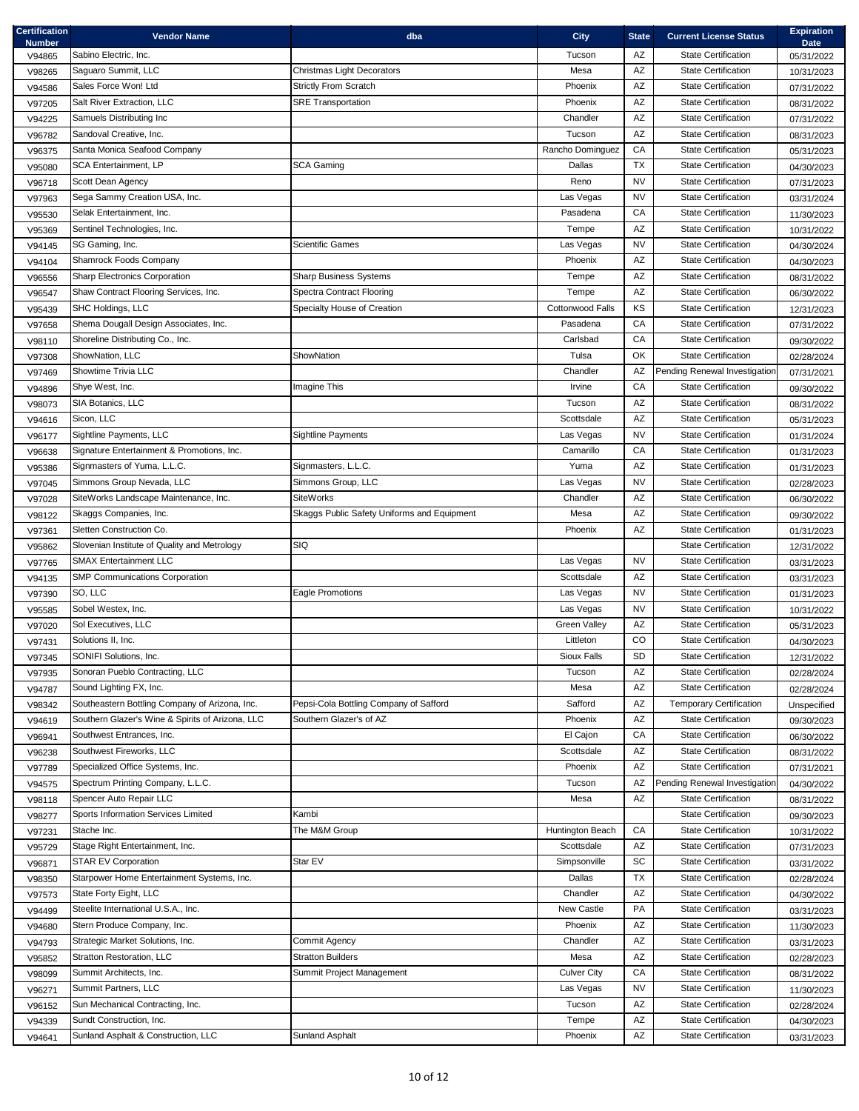| <b>Certification</b><br><b>Number</b> | <b>Vendor Name</b>                               | dba                                         | <b>City</b>         | <b>State</b>           | <b>Current License Status</b>  | <b>Expiration</b><br><b>Date</b> |
|---------------------------------------|--------------------------------------------------|---------------------------------------------|---------------------|------------------------|--------------------------------|----------------------------------|
| V94865                                | Sabino Electric, Inc.                            |                                             | Tucson              | AZ                     | <b>State Certification</b>     | 05/31/2022                       |
| V98265                                | Saguaro Summit, LLC                              | Christmas Light Decorators                  | Mesa                | AZ                     | <b>State Certification</b>     | 10/31/2023                       |
| V94586                                | Sales Force Won! Ltd                             | <b>Strictly From Scratch</b>                | Phoenix             | $\mathsf{A}\mathsf{Z}$ | <b>State Certification</b>     | 07/31/2022                       |
| V97205                                | Salt River Extraction, LLC                       | <b>SRE Transportation</b>                   | Phoenix             | $\mathsf{A}\mathsf{Z}$ | <b>State Certification</b>     | 08/31/2022                       |
| V94225                                | Samuels Distributing Inc                         |                                             | Chandler            | AZ                     | <b>State Certification</b>     | 07/31/2022                       |
| V96782                                | Sandoval Creative, Inc.                          |                                             | Tucson              | AZ                     | <b>State Certification</b>     | 08/31/2023                       |
| V96375                                | Santa Monica Seafood Company                     |                                             | Rancho Dominguez    | CA                     | <b>State Certification</b>     | 05/31/2023                       |
| V95080                                | <b>SCA Entertainment, LP</b>                     | <b>SCA Gaming</b>                           | Dallas              | TX                     | <b>State Certification</b>     | 04/30/2023                       |
| V96718                                | Scott Dean Agency                                |                                             | Reno                | <b>NV</b>              | <b>State Certification</b>     | 07/31/2023                       |
| V97963                                | Sega Sammy Creation USA, Inc.                    |                                             | Las Vegas           | <b>NV</b>              | <b>State Certification</b>     | 03/31/2024                       |
| V95530                                | Selak Entertainment, Inc.                        |                                             | Pasadena            | CA                     | <b>State Certification</b>     | 11/30/2023                       |
| V95369                                | Sentinel Technologies, Inc.                      |                                             | Tempe               | AZ                     | <b>State Certification</b>     | 10/31/2022                       |
| V94145                                | SG Gaming, Inc.                                  | <b>Scientific Games</b>                     | Las Vegas           | <b>NV</b>              | <b>State Certification</b>     | 04/30/2024                       |
| V94104                                | Shamrock Foods Company                           |                                             | Phoenix             | AZ                     | <b>State Certification</b>     | 04/30/2023                       |
| V96556                                | Sharp Electronics Corporation                    | <b>Sharp Business Systems</b>               | Tempe               | AZ                     | <b>State Certification</b>     | 08/31/2022                       |
| V96547                                | Shaw Contract Flooring Services, Inc.            | <b>Spectra Contract Flooring</b>            | Tempe               | $\mathsf{A}\mathsf{Z}$ | <b>State Certification</b>     | 06/30/2022                       |
| V95439                                | SHC Holdings, LLC                                | Specialty House of Creation                 | Cottonwood Falls    | KS                     | <b>State Certification</b>     | 12/31/2023                       |
| V97658                                | Shema Dougall Design Associates, Inc.            |                                             | Pasadena            | CA                     | <b>State Certification</b>     | 07/31/2022                       |
| V98110                                | Shoreline Distributing Co., Inc.                 |                                             | Carlsbad            | CA                     | <b>State Certification</b>     | 09/30/2022                       |
| V97308                                | ShowNation, LLC                                  | ShowNation                                  | Tulsa               | OK                     | <b>State Certification</b>     | 02/28/2024                       |
| V97469                                | Showtime Trivia LLC                              |                                             | Chandler            | AZ                     | Pending Renewal Investigation  | 07/31/2021                       |
| V94896                                | Shye West, Inc.                                  | Imagine This                                | Irvine              | CA                     | <b>State Certification</b>     | 09/30/2022                       |
| V98073                                | SIA Botanics, LLC                                |                                             | Tucson              | AZ                     | <b>State Certification</b>     | 08/31/2022                       |
| V94616                                | Sicon, LLC                                       |                                             | Scottsdale          | AZ                     | <b>State Certification</b>     | 05/31/2023                       |
| V96177                                | Sightline Payments, LLC                          | <b>Sightline Payments</b>                   | Las Vegas           | <b>NV</b>              | <b>State Certification</b>     | 01/31/2024                       |
| V96638                                | Signature Entertainment & Promotions, Inc.       |                                             | Camarillo           | CA                     | <b>State Certification</b>     | 01/31/2023                       |
| V95386                                | Signmasters of Yuma, L.L.C.                      | Signmasters, L.L.C.                         | Yuma                | AZ                     | <b>State Certification</b>     | 01/31/2023                       |
| V97045                                | Simmons Group Nevada, LLC                        | Simmons Group, LLC                          | Las Vegas           | <b>NV</b>              | <b>State Certification</b>     | 02/28/2023                       |
| V97028                                | SiteWorks Landscape Maintenance, Inc.            | <b>SiteWorks</b>                            | Chandler            | AZ                     | State Certification            | 06/30/2022                       |
| V98122                                | Skaggs Companies, Inc.                           | Skaggs Public Safety Uniforms and Equipment | Mesa                | AZ                     | <b>State Certification</b>     | 09/30/2022                       |
| V97361                                | Sletten Construction Co.                         |                                             | Phoenix             | AZ                     | <b>State Certification</b>     | 01/31/2023                       |
| V95862                                | Slovenian Institute of Quality and Metrology     | SIQ                                         |                     |                        | <b>State Certification</b>     | 12/31/2022                       |
| V97765                                | <b>SMAX Entertainment LLC</b>                    |                                             | Las Vegas           | <b>NV</b>              | <b>State Certification</b>     | 03/31/2023                       |
| V94135                                | SMP Communications Corporation                   |                                             | Scottsdale          | AZ                     | <b>State Certification</b>     | 03/31/2023                       |
| V97390                                | SO, LLC                                          | Eagle Promotions                            | Las Vegas           | <b>NV</b>              | State Certification            | 01/31/2023                       |
| V95585                                | Sobel Westex, Inc.                               |                                             | Las Vegas           | <b>NV</b>              | <b>State Certification</b>     | 10/31/2022                       |
| V97020                                | Sol Executives, LLC                              |                                             | <b>Green Valley</b> | AZ                     | <b>State Certification</b>     | 05/31/2023                       |
| V97431                                | Solutions II, Inc.                               |                                             | Littleton           | CO                     | <b>State Certification</b>     | 04/30/2023                       |
| V97345                                | SONIFI Solutions, Inc.                           |                                             | Sioux Falls         | <b>SD</b>              | <b>State Certification</b>     | 12/31/2022                       |
| V97935                                | Sonoran Pueblo Contracting, LLC                  |                                             | Tucson              | AZ                     | <b>State Certification</b>     | 02/28/2024                       |
| V94787                                | Sound Lighting FX, Inc.                          |                                             | Mesa                | $\mathsf{A}\mathsf{Z}$ | <b>State Certification</b>     | 02/28/2024                       |
| V98342                                | Southeastern Bottling Company of Arizona, Inc.   | Pepsi-Cola Bottling Company of Safford      | Safford             | AZ                     | <b>Temporary Certification</b> | Unspecified                      |
| V94619                                | Southern Glazer's Wine & Spirits of Arizona, LLC | Southern Glazer's of AZ                     | Phoenix             | AZ                     | <b>State Certification</b>     | 09/30/2023                       |
| V96941                                | Southwest Entrances, Inc.                        |                                             | El Cajon            | CA                     | <b>State Certification</b>     | 06/30/2022                       |
| V96238                                | Southwest Fireworks, LLC                         |                                             | Scottsdale          | AZ                     | <b>State Certification</b>     | 08/31/2022                       |
| V97789                                | Specialized Office Systems, Inc.                 |                                             | Phoenix             | AZ                     | <b>State Certification</b>     | 07/31/2021                       |
| V94575                                | Spectrum Printing Company, L.L.C.                |                                             | Tucson              | AZ                     | Pending Renewal Investigation  | 04/30/2022                       |
| V98118                                | Spencer Auto Repair LLC                          |                                             | Mesa                | AZ                     | <b>State Certification</b>     | 08/31/2022                       |
| V98277                                | Sports Information Services Limited              | Kambi                                       |                     |                        | <b>State Certification</b>     | 09/30/2023                       |
| V97231                                | Stache Inc.                                      | The M&M Group                               | Huntington Beach    | CA                     | State Certification            | 10/31/2022                       |
| V95729                                | Stage Right Entertainment, Inc.                  |                                             | Scottsdale          | AZ                     | <b>State Certification</b>     | 07/31/2023                       |
| V96871                                | <b>STAR EV Corporation</b>                       | Star EV                                     | Simpsonville        | SC                     | <b>State Certification</b>     | 03/31/2022                       |
| V98350                                | Starpower Home Entertainment Systems, Inc.       |                                             | Dallas              | <b>TX</b>              | <b>State Certification</b>     | 02/28/2024                       |
| V97573                                | State Forty Eight, LLC                           |                                             | Chandler            | AZ                     | <b>State Certification</b>     | 04/30/2022                       |
| V94499                                | Steelite International U.S.A., Inc.              |                                             | New Castle          | PA                     | <b>State Certification</b>     | 03/31/2023                       |
| V94680                                | Stern Produce Company, Inc.                      |                                             | Phoenix             | AZ                     | State Certification            | 11/30/2023                       |
| V94793                                | Strategic Market Solutions, Inc.                 | Commit Agency                               | Chandler            | AZ                     | <b>State Certification</b>     | 03/31/2023                       |
| V95852                                | Stratton Restoration, LLC                        | <b>Stratton Builders</b>                    | Mesa                | AZ                     | <b>State Certification</b>     | 02/28/2023                       |
| V98099                                | Summit Architects, Inc.                          | Summit Project Management                   | <b>Culver City</b>  | CA                     | <b>State Certification</b>     | 08/31/2022                       |
| V96271                                | Summit Partners, LLC                             |                                             | Las Vegas           | <b>NV</b>              | <b>State Certification</b>     | 11/30/2023                       |
| V96152                                | Sun Mechanical Contracting, Inc.                 |                                             | Tucson              | AZ                     | <b>State Certification</b>     | 02/28/2024                       |
| V94339                                | Sundt Construction, Inc.                         |                                             | Tempe               | $\mathsf{AZ}$          | <b>State Certification</b>     | 04/30/2023                       |
| V94641                                | Sunland Asphalt & Construction, LLC              | <b>Sunland Asphalt</b>                      | Phoenix             | $\mathsf{A}\mathsf{Z}$ | <b>State Certification</b>     | 03/31/2023                       |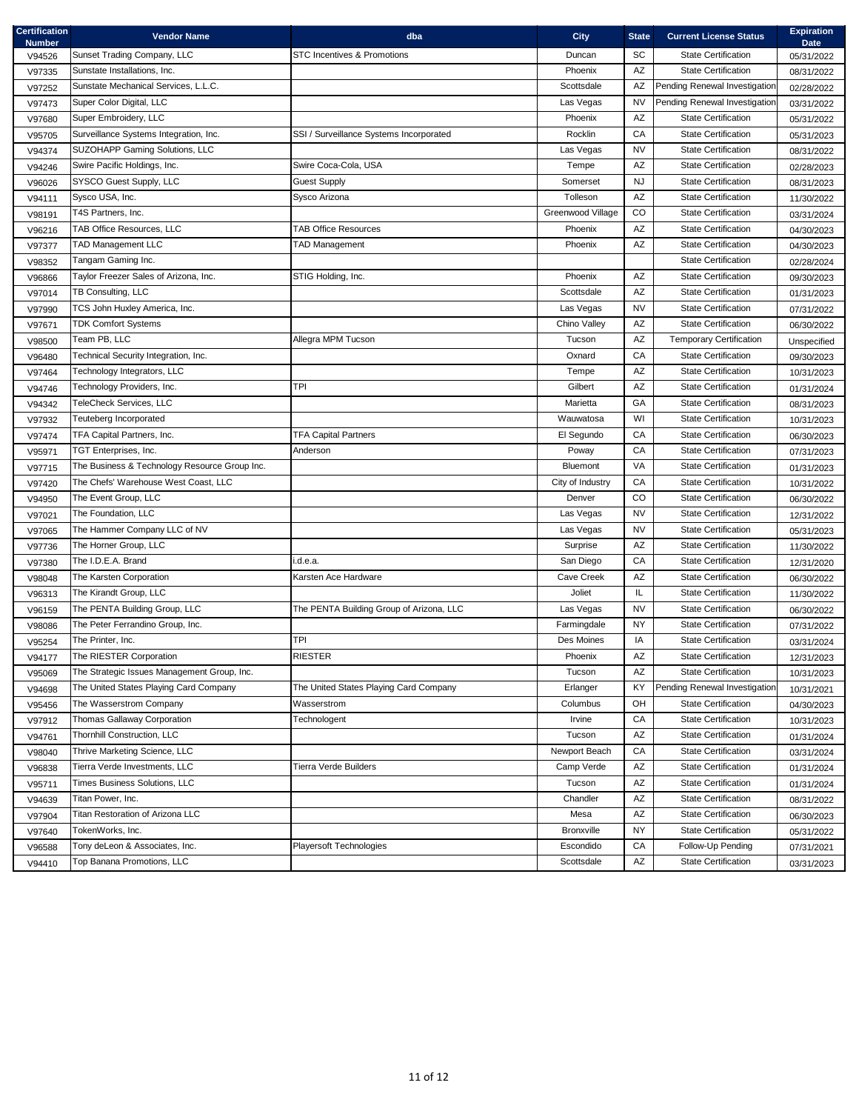| <b>Certification</b><br><b>Number</b> | <b>Vendor Name</b>                                                                    | dba                                      | <b>City</b>       | <b>State</b>           | <b>Current License Status</b>                     | <b>Expiration</b><br><b>Date</b> |
|---------------------------------------|---------------------------------------------------------------------------------------|------------------------------------------|-------------------|------------------------|---------------------------------------------------|----------------------------------|
| V94526                                | Sunset Trading Company, LLC                                                           | <b>STC Incentives &amp; Promotions</b>   | Duncan            | SC                     | <b>State Certification</b>                        | 05/31/2022                       |
| V97335                                | Sunstate Installations, Inc.                                                          |                                          | Phoenix           | AZ                     | <b>State Certification</b>                        | 08/31/2022                       |
| V97252                                | Sunstate Mechanical Services, L.L.C.                                                  |                                          | Scottsdale        | AZ                     | Pending Renewal Investigation                     | 02/28/2022                       |
| V97473                                | Super Color Digital, LLC                                                              |                                          | Las Vegas         | <b>NV</b>              | Pending Renewal Investigation                     | 03/31/2022                       |
| V97680                                | Super Embroidery, LLC                                                                 |                                          | Phoenix           | AZ                     | <b>State Certification</b>                        | 05/31/2022                       |
| V95705                                | Surveillance Systems Integration, Inc.                                                | SSI / Surveillance Systems Incorporated  | Rocklin           | CA                     | <b>State Certification</b>                        | 05/31/2023                       |
| V94374                                | SUZOHAPP Gaming Solutions, LLC                                                        |                                          | Las Vegas         | <b>NV</b>              | <b>State Certification</b>                        | 08/31/2022                       |
| V94246                                | Swire Pacific Holdings, Inc.                                                          | Swire Coca-Cola, USA                     | Tempe             | AZ                     | <b>State Certification</b>                        | 02/28/2023                       |
| V96026                                | SYSCO Guest Supply, LLC                                                               | <b>Guest Supply</b>                      | Somerset          | <b>NJ</b>              | <b>State Certification</b>                        | 08/31/2023                       |
| V94111                                | Sysco USA, Inc.                                                                       | Sysco Arizona                            | Tolleson          | $\mathsf{A}\mathsf{Z}$ | <b>State Certification</b>                        | 11/30/2022                       |
| V98191                                | T4S Partners, Inc.                                                                    |                                          | Greenwood Village | CO                     | <b>State Certification</b>                        | 03/31/2024                       |
| V96216                                | <b>TAB Office Resources, LLC</b>                                                      | TAB Office Resources                     | Phoenix           | $\mathsf{A}\mathsf{Z}$ | <b>State Certification</b>                        | 04/30/2023                       |
| V97377                                | <b>TAD Management LLC</b>                                                             | <b>TAD Management</b>                    | Phoenix           | $\mathsf{A}\mathsf{Z}$ | State Certification                               | 04/30/2023                       |
| V98352                                | Tangam Gaming Inc.                                                                    |                                          |                   |                        | <b>State Certification</b>                        | 02/28/2024                       |
| V96866                                | Taylor Freezer Sales of Arizona, Inc.                                                 | STIG Holding, Inc.                       | Phoenix           | AZ                     | <b>State Certification</b>                        | 09/30/2023                       |
| V97014                                | TB Consulting, LLC                                                                    |                                          | Scottsdale        | AZ                     | <b>State Certification</b>                        | 01/31/2023                       |
| V97990                                | TCS John Huxley America, Inc.                                                         |                                          | Las Vegas         | <b>NV</b>              | <b>State Certification</b>                        | 07/31/2022                       |
| V97671                                | <b>TDK Comfort Systems</b>                                                            |                                          | Chino Valley      | AZ                     | <b>State Certification</b>                        | 06/30/2022                       |
| V98500                                | Team PB, LLC                                                                          | Allegra MPM Tucson                       | Tucson            | AZ                     | <b>Temporary Certification</b>                    | Unspecified                      |
| V96480                                | Technical Security Integration, Inc.                                                  |                                          | Oxnard            | CA                     | <b>State Certification</b>                        | 09/30/2023                       |
| V97464                                | Technology Integrators, LLC                                                           |                                          | Tempe             | AZ                     | <b>State Certification</b>                        | 10/31/2023                       |
| V94746                                | Technology Providers, Inc.                                                            | <b>TPI</b>                               | Gilbert           | AZ                     | <b>State Certification</b>                        | 01/31/2024                       |
|                                       | TeleCheck Services, LLC                                                               |                                          | Marietta          | GA                     | <b>State Certification</b>                        |                                  |
| V94342                                | Teuteberg Incorporated                                                                |                                          | Wauwatosa         | WI                     | State Certification                               | 08/31/2023                       |
| V97932                                |                                                                                       |                                          | El Segundo        |                        | <b>State Certification</b>                        | 10/31/2023                       |
| V97474                                | TFA Capital Partners, Inc.                                                            | <b>TFA Capital Partners</b>              |                   | CA                     |                                                   | 06/30/2023                       |
| V95971                                | TGT Enterprises, Inc.                                                                 | Anderson                                 | Poway<br>Bluemont | CA<br>VA               | State Certification<br><b>State Certification</b> | 07/31/2023                       |
| V97715                                | The Business & Technology Resource Group Inc.<br>The Chefs' Warehouse West Coast, LLC |                                          |                   |                        |                                                   | 01/31/2023                       |
| V97420                                |                                                                                       |                                          | City of Industry  | ${\sf CA}$             | <b>State Certification</b>                        | 10/31/2022                       |
| V94950                                | The Event Group, LLC                                                                  |                                          | Denver            | CO                     | <b>State Certification</b>                        | 06/30/2022                       |
| V97021                                | The Foundation, LLC                                                                   |                                          | Las Vegas         | <b>NV</b>              | <b>State Certification</b>                        | 12/31/2022                       |
| V97065                                | The Hammer Company LLC of NV                                                          |                                          | Las Vegas         | <b>NV</b>              | <b>State Certification</b>                        | 05/31/2023                       |
| V97736                                | The Horner Group, LLC                                                                 |                                          | Surprise          | AZ                     | <b>State Certification</b>                        | 11/30/2022                       |
| V97380                                | The I.D.E.A. Brand                                                                    | .d.e.a.                                  | San Diego         | CA                     | State Certification                               | 12/31/2020                       |
| V98048                                | The Karsten Corporation                                                               | Karsten Ace Hardware                     | Cave Creek        | AZ                     | State Certification                               | 06/30/2022                       |
| V96313                                | The Kirandt Group, LLC                                                                |                                          | Joliet            | IL.                    | State Certification                               | 11/30/2022                       |
| V96159                                | The PENTA Building Group, LLC                                                         | The PENTA Building Group of Arizona, LLC | Las Vegas         | <b>NV</b>              | <b>State Certification</b>                        | 06/30/2022                       |
| V98086                                | The Peter Ferrandino Group, Inc.                                                      |                                          | Farmingdale       | NY                     | State Certification                               | 07/31/2022                       |
| V95254                                | The Printer, Inc.                                                                     | <b>TPI</b>                               | Des Moines        | IA                     | <b>State Certification</b>                        | 03/31/2024                       |
| V94177                                | The RIESTER Corporation                                                               | <b>RIESTER</b>                           | Phoenix           | AZ                     | <b>State Certification</b>                        | 12/31/2023                       |
| V95069                                | The Strategic Issues Management Group, Inc.                                           |                                          | Tucson            | AZ                     | <b>State Certification</b>                        | 10/31/2023                       |
| V94698                                | The United States Playing Card Company                                                | The United States Playing Card Company   | Erlanger          | KY                     | Pending Renewal Investigation                     | 10/31/2021                       |
| V95456                                | The Wasserstrom Company                                                               | Wasserstrom                              | Columbus          | OH                     | <b>State Certification</b>                        | 04/30/2023                       |
| V97912                                | Thomas Gallaway Corporation                                                           | Technologent                             | Irvine            | CA                     | State Certification                               | 10/31/2023                       |
| V94761                                | Thornhill Construction, LLC                                                           |                                          | Tucson            | AZ                     | <b>State Certification</b>                        | 01/31/2024                       |
| V98040                                | Thrive Marketing Science, LLC                                                         |                                          | Newport Beach     | CA                     | State Certification                               | 03/31/2024                       |
| V96838                                | Tierra Verde Investments, LLC                                                         | <b>Tierra Verde Builders</b>             | Camp Verde        | AZ                     | <b>State Certification</b>                        | 01/31/2024                       |
| V95711                                | Times Business Solutions, LLC                                                         |                                          | Tucson            | $\mathsf{A}\mathsf{Z}$ | <b>State Certification</b>                        | 01/31/2024                       |
| V94639                                | Titan Power, Inc.                                                                     |                                          | Chandler          | AZ                     | State Certification                               | 08/31/2022                       |
| V97904                                | Titan Restoration of Arizona LLC                                                      |                                          | Mesa              | AZ                     | <b>State Certification</b>                        | 06/30/2023                       |
| V97640                                | TokenWorks, Inc.                                                                      |                                          | Bronxville        | NY                     | <b>State Certification</b>                        | 05/31/2022                       |
| V96588                                | Tony deLeon & Associates, Inc.                                                        | <b>Playersoft Technologies</b>           | Escondido         | ${\sf CA}$             | Follow-Up Pending                                 | 07/31/2021                       |
| V94410                                | Top Banana Promotions, LLC                                                            |                                          | Scottsdale        | AZ                     | <b>State Certification</b>                        | 03/31/2023                       |